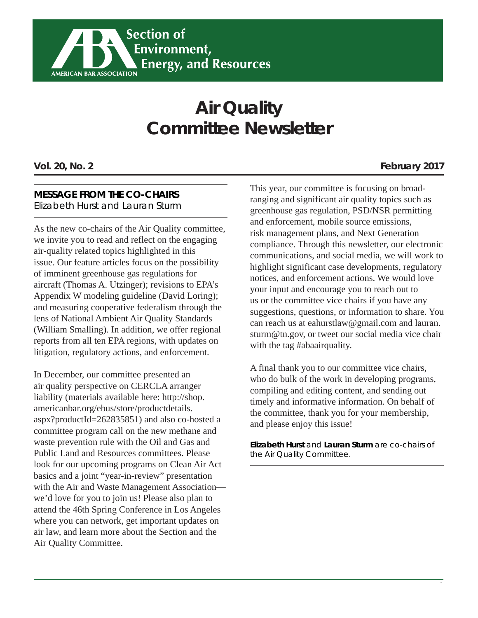

# **Air Quality Committee Newsletter**

#### **MESSAGE FROM THE CO-CHAIRS**

Elizabeth Hurst and Lauran Sturm

As the new co-chairs of the Air Quality committee, we invite you to read and reflect on the engaging air-quality related topics highlighted in this issue. Our feature articles focus on the possibility of imminent greenhouse gas regulations for aircraft (Thomas A. Utzinger); revisions to EPA's Appendix W modeling guideline (David Loring); and measuring cooperative federalism through the lens of National Ambient Air Quality Standards (William Smalling). In addition, we offer regional reports from all ten EPA regions, with updates on litigation, regulatory actions, and enforcement.

In December, our committee presented an air quality perspective on CERCLA arranger liability (materials available here: http://shop. americanbar.org/ebus/store/productdetails. aspx?productId=262835851) and also co-hosted a committee program call on the new methane and waste prevention rule with the Oil and Gas and Public Land and Resources committees. Please look for our upcoming programs on Clean Air Act basics and a joint "year-in-review" presentation with the Air and Waste Management Association we'd love for you to join us! Please also plan to attend the 46th Spring Conference in Los Angeles where you can network, get important updates on air law, and learn more about the Section and the Air Quality Committee.

This year, our committee is focusing on broadranging and significant air quality topics such as greenhouse gas regulation, PSD/NSR permitting and enforcement, mobile source emissions, risk management plans, and Next Generation compliance. Through this newsletter, our electronic communications, and social media, we will work to highlight significant case developments, regulatory notices, and enforcement actions. We would love your input and encourage you to reach out to us or the committee vice chairs if you have any suggestions, questions, or information to share. You can reach us at eahurstlaw@gmail.com and lauran. sturm@tn.gov, or tweet our social media vice chair with the tag #abaairquality.

A final thank you to our committee vice chairs, who do bulk of the work in developing programs, compiling and editing content, and sending out timely and informative information. On behalf of the committee, thank you for your membership, and please enjoy this issue!

**Elizabeth Hurst** *and* **Lauran Sturm** *are co-chairs of the Air Quality Committee.*

#### **Vol. 20, No. 2 February 2017**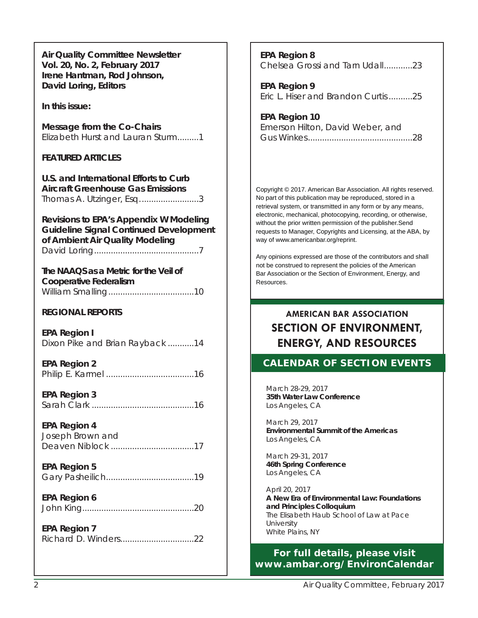**Air Quality Committee Newsletter Vol. 20, No. 2, February 2017 Irene Hantman, Rod Johnson, David Loring, Editors**

**In this issue:**

**Message from the Co-Chairs** Elizabeth Hurst and Lauran Sturm.........1

#### **FEATURED ARTICLES**

**U.S. and International Efforts to Curb Aircraft Greenhouse Gas Emissions** Thomas A. Utzinger, Esq. ........................3

**Revisions to EPA's Appendix W Modeling Guideline Signal Continued Development of Ambient Air Quality Modeling** David Loring ............................................7

**The NAAQS as a Metric for the Veil of Cooperative Federalism** William Smalling ....................................10

#### **REGIONAL REPORTS**

**EPA Region I** Dixon Pike and Brian Rayback ...........14

**EPA Region 2**  Philip E. Karmel .....................................16

**EPA Region 3**  Sarah Clark ...........................................16

**EPA Region 4**  Joseph Brown and Deaven Niblock ...................................17

**EPA Region 5** Gary Pasheilich .....................................19

**EPA Region 6** John King...............................................20

**EPA Region 7** Richard D. Winders ...............................22 **EPA Region 8** Chelsea Grossi and Tarn Udall............23

**EPA Region 9**  Eric L. Hiser and Brandon Curtis ..........25

**EPA Region 10** Emerson Hilton, David Weber, and Gus Winkes ............................................28

Copyright © 2017. American Bar Association. All rights reserved. No part of this publication may be reproduced, stored in a retrieval system, or transmitted in any form or by any means, electronic, mechanical, photocopying, recording, or otherwise, without the prior written permission of the publisher.Send requests to Manager, Copyrights and Licensing, at the ABA, by way of www.americanbar.org/reprint.

Any opinions expressed are those of the contributors and shall not be construed to represent the policies of the American Bar Association or the Section of Environment, Energy, and Resources.

# **AMERICAN BAR ASSOCIATION SECTION OF ENVIRONMENT, ENERGY, AND RESOURCES**

#### **CALENDAR OF SECTION EVENTS**

March 28-29, 2017 **35th Water Law Conference** Los Angeles, CA

March 29, 2017 **Environmental Summit of the Americas** Los Angeles, CA

March 29-31, 2017 **46th Spring Conference** Los Angeles, CA

April 20, 2017 **A New Era of Environmental Law: Foundations and Principles Colloquium** The Elisabeth Haub School of Law at Pace University White Plains, NY

#### **For full details, please visit www.ambar.org/EnvironCalendar**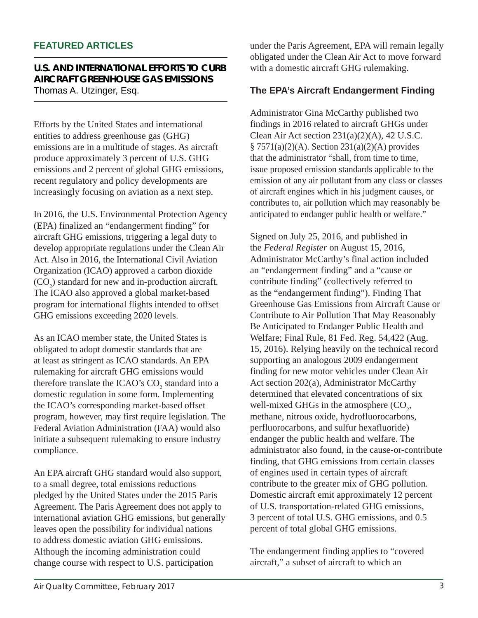#### **FEATURED ARTICLES**

#### **U.S. AND INTERNATIONAL EFFORTS TO CURB AIRCRAFT GREENHOUSE GAS EMISSIONS** Thomas A. Utzinger, Esq.

Efforts by the United States and international entities to address greenhouse gas (GHG) emissions are in a multitude of stages. As aircraft produce approximately 3 percent of U.S. GHG emissions and 2 percent of global GHG emissions, recent regulatory and policy developments are increasingly focusing on aviation as a next step.

In 2016, the U.S. Environmental Protection Agency (EPA) finalized an "endangerment finding" for aircraft GHG emissions, triggering a legal duty to develop appropriate regulations under the Clean Air Act. Also in 2016, the International Civil Aviation Organization (ICAO) approved a carbon dioxide  $(CO<sub>2</sub>)$  standard for new and in-production aircraft. The ICAO also approved a global market-based program for international flights intended to offset GHG emissions exceeding 2020 levels.

As an ICAO member state, the United States is obligated to adopt domestic standards that are at least as stringent as ICAO standards. An EPA rulemaking for aircraft GHG emissions would therefore translate the ICAO's  $CO_2$  standard into a domestic regulation in some form. Implementing the ICAO's corresponding market-based offset program, however, may first require legislation. The Federal Aviation Administration (FAA) would also initiate a subsequent rulemaking to ensure industry compliance.

An EPA aircraft GHG standard would also support, to a small degree, total emissions reductions pledged by the United States under the 2015 Paris Agreement. The Paris Agreement does not apply to international aviation GHG emissions, but generally leaves open the possibility for individual nations to address domestic aviation GHG emissions. Although the incoming administration could change course with respect to U.S. participation

under the Paris Agreement, EPA will remain legally obligated under the Clean Air Act to move forward with a domestic aircraft GHG rulemaking.

#### **The EPA's Aircraft Endangerment Finding**

Administrator Gina McCarthy published two findings in 2016 related to aircraft GHGs under Clean Air Act section  $231(a)(2)(A)$ , 42 U.S.C. § 7571(a)(2)(A). Section 231(a)(2)(A) provides that the administrator "shall, from time to time, issue proposed emission standards applicable to the emission of any air pollutant from any class or classes of aircraft engines which in his judgment causes, or contributes to, air pollution which may reasonably be anticipated to endanger public health or welfare."

Signed on July 25, 2016, and published in the *Federal Register* on August 15, 2016, Administrator McCarthy's final action included an "endangerment finding" and a "cause or contribute finding" (collectively referred to as the "endangerment finding"). Finding That Greenhouse Gas Emissions from Aircraft Cause or Contribute to Air Pollution That May Reasonably Be Anticipated to Endanger Public Health and Welfare; Final Rule, 81 Fed. Reg. 54,422 (Aug. 15, 2016). Relying heavily on the technical record supporting an analogous 2009 endangerment finding for new motor vehicles under Clean Air Act section 202(a), Administrator McCarthy determined that elevated concentrations of six well-mixed GHGs in the atmosphere  $(CO_2)$ , methane, nitrous oxide, hydrofluorocarbons, perfluorocarbons, and sulfur hexafluoride) endanger the public health and welfare. The administrator also found, in the cause-or-contribute finding, that GHG emissions from certain classes of engines used in certain types of aircraft contribute to the greater mix of GHG pollution. Domestic aircraft emit approximately 12 percent of U.S. transportation-related GHG emissions, 3 percent of total U.S. GHG emissions, and 0.5 percent of total global GHG emissions.

The endangerment finding applies to "covered aircraft," a subset of aircraft to which an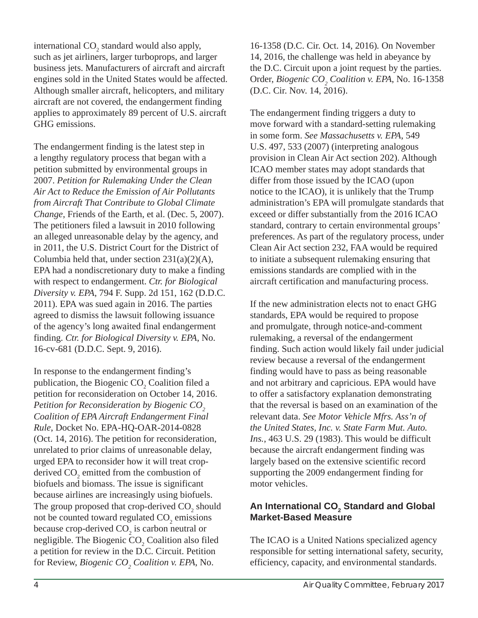international  $CO<sub>2</sub>$  standard would also apply, such as jet airliners, larger turboprops, and larger business jets. Manufacturers of aircraft and aircraft engines sold in the United States would be affected. Although smaller aircraft, helicopters, and military aircraft are not covered, the endangerment finding applies to approximately 89 percent of U.S. aircraft GHG emissions.

The endangerment finding is the latest step in a lengthy regulatory process that began with a petition submitted by environmental groups in 2007. *Petition for Rulemaking Under the Clean Air Act to Reduce the Emission of Air Pollutants from Aircraft That Contribute to Global Climate Change*, Friends of the Earth, et al. (Dec. 5, 2007). The petitioners filed a lawsuit in 2010 following an alleged unreasonable delay by the agency, and in 2011, the U.S. District Court for the District of Columbia held that, under section  $231(a)(2)(A)$ , EPA had a nondiscretionary duty to make a finding with respect to endangerment. *Ctr. for Biological Diversity v. EPA*, 794 F. Supp. 2d 151, 162 (D.D.C. 2011). EPA was sued again in 2016. The parties agreed to dismiss the lawsuit following issuance of the agency's long awaited final endangerment finding. *Ctr. for Biological Diversity v. EPA*, No. 16-cv-681 (D.D.C. Sept. 9, 2016).

In response to the endangerment finding's publication, the Biogenic  $CO<sub>2</sub>$  Coalition filed a petition for reconsideration on October 14, 2016. *Petition for Reconsideration by Biogenic CO<sub>2</sub> Coalition of EPA Aircraft Endangerment Final Rule*, Docket No. EPA-HQ-OAR-2014-0828 (Oct. 14, 2016). The petition for reconsideration, unrelated to prior claims of unreasonable delay, urged EPA to reconsider how it will treat cropderived  $CO_2$  emitted from the combustion of biofuels and biomass. The issue is significant because airlines are increasingly using biofuels. The group proposed that crop-derived  $CO<sub>2</sub>$  should not be counted toward regulated  $CO_2$  emissions because crop-derived  $CO_2$  is carbon neutral or negligible. The Biogenic  $CO<sub>2</sub>$  Coalition also filed a petition for review in the D.C. Circuit. Petition for Review, *Biogenic CO<sub>2</sub> Coalition v. EPA*, No.

16-1358 (D.C. Cir. Oct. 14, 2016)*.* On November 14, 2016, the challenge was held in abeyance by the D.C. Circuit upon a joint request by the parties. Order, *Biogenic CO<sub>2</sub> Coalition v. EPA*, No. 16-1358 (D.C. Cir. Nov. 14, 2016).

The endangerment finding triggers a duty to move forward with a standard-setting rulemaking in some form. *See Massachusetts v. EPA*, 549 U.S. 497, 533 (2007) (interpreting analogous provision in Clean Air Act section 202). Although ICAO member states may adopt standards that differ from those issued by the ICAO (upon notice to the ICAO), it is unlikely that the Trump administration's EPA will promulgate standards that exceed or differ substantially from the 2016 ICAO standard, contrary to certain environmental groups' preferences. As part of the regulatory process, under Clean Air Act section 232, FAA would be required to initiate a subsequent rulemaking ensuring that emissions standards are complied with in the aircraft certification and manufacturing process.

If the new administration elects not to enact GHG standards, EPA would be required to propose and promulgate, through notice-and-comment rulemaking, a reversal of the endangerment finding. Such action would likely fail under judicial review because a reversal of the endangerment finding would have to pass as being reasonable and not arbitrary and capricious. EPA would have to offer a satisfactory explanation demonstrating that the reversal is based on an examination of the relevant data. *See Motor Vehicle Mfrs. Ass'n of the United States, Inc. v. State Farm Mut. Auto. Ins.*, 463 U.S. 29 (1983). This would be difficult because the aircraft endangerment finding was largely based on the extensive scientific record supporting the 2009 endangerment finding for motor vehicles.

# An International CO<sub>2</sub> Standard and Global **Market-Based Measure**

The ICAO is a United Nations specialized agency responsible for setting international safety, security, efficiency, capacity, and environmental standards.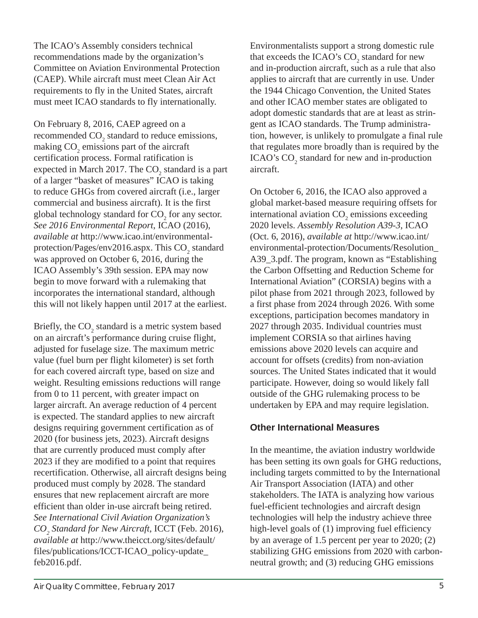recommendations made by the organization's Committee on Aviation Environmental Protection (CAEP). While aircraft must meet Clean Air Act requirements to fly in the United States, aircraft must meet ICAO standards to fly internationally.

The ICAO's Assembly considers technical

On February 8, 2016, CAEP agreed on a recommended  $CO<sub>2</sub>$  standard to reduce emissions, making  $CO<sub>2</sub>$  emissions part of the aircraft certification process. Formal ratification is expected in March 2017. The  $CO_2$  standard is a part of a larger "basket of measures" ICAO is taking to reduce GHGs from covered aircraft (i.e., larger commercial and business aircraft). It is the first global technology standard for  $CO_2$  for any sector. *See 2016 Environmental Report*, ICAO (2016), *available at* http://www.icao.int/environmentalprotection/Pages/env2016.aspx. This  $\text{CO}_2$  standard was approved on October 6, 2016, during the ICAO Assembly's 39th session. EPA may now begin to move forward with a rulemaking that incorporates the international standard, although this will not likely happen until 2017 at the earliest.

Briefly, the  $CO_2$  standard is a metric system based on an aircraft's performance during cruise flight, adjusted for fuselage size. The maximum metric value (fuel burn per flight kilometer) is set forth for each covered aircraft type, based on size and weight. Resulting emissions reductions will range from 0 to 11 percent, with greater impact on larger aircraft. An average reduction of 4 percent is expected. The standard applies to new aircraft designs requiring government certification as of 2020 (for business jets, 2023). Aircraft designs that are currently produced must comply after 2023 if they are modified to a point that requires recertification. Otherwise, all aircraft designs being produced must comply by 2028. The standard ensures that new replacement aircraft are more efficient than older in-use aircraft being retired. *See International Civil Aviation Organization's CO2 Standard for New Aircraft*, ICCT (Feb. 2016), *available at* http://www.theicct.org/sites/default/ files/publications/ICCT-ICAO\_policy-update\_ feb2016.pdf.

Environmentalists support a strong domestic rule that exceeds the ICAO's  $CO_2$  standard for new and in-production aircraft, such as a rule that also applies to aircraft that are currently in use*.* Under the 1944 Chicago Convention, the United States and other ICAO member states are obligated to adopt domestic standards that are at least as stringent as ICAO standards. The Trump administration, however, is unlikely to promulgate a final rule that regulates more broadly than is required by the ICAO's  $CO<sub>2</sub>$  standard for new and in-production aircraft.

On October 6, 2016, the ICAO also approved a global market-based measure requiring offsets for international aviation  $CO<sub>2</sub>$  emissions exceeding 2020 levels. *Assembly Resolution A39-3*, ICAO (Oct. 6, 2016), *available at* http://www.icao.int/ environmental-protection/Documents/Resolution\_ A39\_3.pdf. The program, known as "Establishing the Carbon Offsetting and Reduction Scheme for International Aviation" (CORSIA) begins with a pilot phase from 2021 through 2023, followed by a first phase from 2024 through 2026. With some exceptions, participation becomes mandatory in 2027 through 2035. Individual countries must implement CORSIA so that airlines having emissions above 2020 levels can acquire and account for offsets (credits) from non-aviation sources. The United States indicated that it would participate. However, doing so would likely fall outside of the GHG rulemaking process to be undertaken by EPA and may require legislation.

# **Other International Measures**

In the meantime, the aviation industry worldwide has been setting its own goals for GHG reductions, including targets committed to by the International Air Transport Association (IATA) and other stakeholders. The IATA is analyzing how various fuel-efficient technologies and aircraft design technologies will help the industry achieve three high-level goals of (1) improving fuel efficiency by an average of 1.5 percent per year to 2020; (2) stabilizing GHG emissions from 2020 with carbonneutral growth; and (3) reducing GHG emissions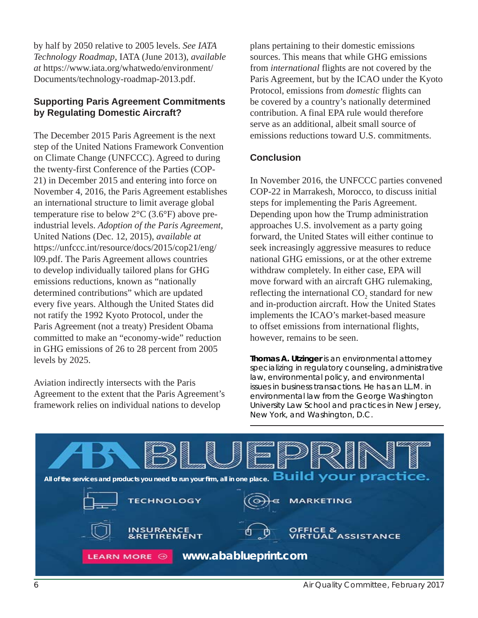by half by 2050 relative to 2005 levels. *See IATA Technology Roadmap*, IATA (June 2013), *available at* https://www.iata.org/whatwedo/environment/ Documents/technology-roadmap-2013.pdf.

#### **Supporting Paris Agreement Commitments by Regulating Domestic Aircraft?**

The December 2015 Paris Agreement is the next step of the United Nations Framework Convention on Climate Change (UNFCCC). Agreed to during the twenty-first Conference of the Parties (COP-21) in December 2015 and entering into force on November 4, 2016, the Paris Agreement establishes an international structure to limit average global temperature rise to below 2°C (3.6°F) above preindustrial levels. *Adoption of the Paris Agreement*, United Nations (Dec. 12, 2015), *available at* https://unfccc.int/resource/docs/2015/cop21/eng/ l09.pdf. The Paris Agreement allows countries to develop individually tailored plans for GHG emissions reductions, known as "nationally determined contributions" which are updated every five years. Although the United States did not ratify the 1992 Kyoto Protocol, under the Paris Agreement (not a treaty) President Obama committed to make an "economy-wide" reduction in GHG emissions of 26 to 28 percent from 2005 levels by 2025.

Aviation indirectly intersects with the Paris Agreement to the extent that the Paris Agreement's framework relies on individual nations to develop

plans pertaining to their domestic emissions sources. This means that while GHG emissions from *international* flights are not covered by the Paris Agreement, but by the ICAO under the Kyoto Protocol, emissions from *domestic* flights can be covered by a country's nationally determined contribution. A final EPA rule would therefore serve as an additional, albeit small source of emissions reductions toward U.S. commitments.

#### **Conclusion**

In November 2016, the UNFCCC parties convened COP-22 in Marrakesh, Morocco, to discuss initial steps for implementing the Paris Agreement. Depending upon how the Trump administration approaches U.S. involvement as a party going forward, the United States will either continue to seek increasingly aggressive measures to reduce national GHG emissions, or at the other extreme withdraw completely. In either case, EPA will move forward with an aircraft GHG rulemaking, reflecting the international  $CO_2$  standard for new and in-production aircraft. How the United States implements the ICAO's market-based measure to offset emissions from international flights, however, remains to be seen.

**Thomas A. Utzinger** *is an environmental attorney specializing in regulatory counseling, administrative law, environmental policy, and environmental issues in business transactions. He has an LL.M. in environmental law from the George Washington University Law School and practices in New Jersey, New York, and Washington, D.C.*



6 Air Quality Committee, February 2017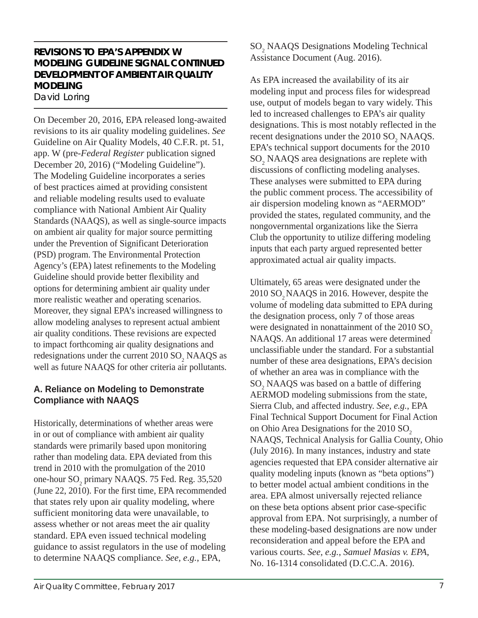# **REVISIONS TO EPA'S APPENDIX W MODELING GUIDELINE SIGNAL CONTINUED DEVELOPMENT OF AMBIENT AIR QUALITY MODELING**

David Loring

On December 20, 2016, EPA released long-awaited revisions to its air quality modeling guidelines. *See*  Guideline on Air Quality Models, 40 C.F.R. pt. 51, app. W (pre-*Federal Register* publication signed December 20, 2016) ("Modeling Guideline"). The Modeling Guideline incorporates a series of best practices aimed at providing consistent and reliable modeling results used to evaluate compliance with National Ambient Air Quality Standards (NAAQS), as well as single-source impacts on ambient air quality for major source permitting under the Prevention of Significant Deterioration (PSD) program. The Environmental Protection Agency's (EPA) latest refinements to the Modeling Guideline should provide better flexibility and options for determining ambient air quality under more realistic weather and operating scenarios. Moreover, they signal EPA's increased willingness to allow modeling analyses to represent actual ambient air quality conditions. These revisions are expected to impact forthcoming air quality designations and redesignations under the current  $2010$  SO<sub>2</sub> NAAQS as well as future NAAQS for other criteria air pollutants.

#### **A. Reliance on Modeling to Demonstrate Compliance with NAAQS**

Historically, determinations of whether areas were in or out of compliance with ambient air quality standards were primarily based upon monitoring rather than modeling data. EPA deviated from this trend in 2010 with the promulgation of the 2010 one-hour SO<sub>2</sub> primary NAAQS. 75 Fed. Reg. 35,520 (June 22, 2010). For the first time, EPA recommended that states rely upon air quality modeling, where sufficient monitoring data were unavailable, to assess whether or not areas meet the air quality standard. EPA even issued technical modeling guidance to assist regulators in the use of modeling to determine NAAQS compliance. *See, e.g.*, EPA,

SO<sub>2</sub> NAAQS Designations Modeling Technical Assistance Document (Aug. 2016).

As EPA increased the availability of its air modeling input and process files for widespread use, output of models began to vary widely. This led to increased challenges to EPA's air quality designations. This is most notably reflected in the recent designations under the  $2010$  SO<sub>2</sub> NAAQS. EPA's technical support documents for the 2010 SO<sub>2</sub> NAAQS area designations are replete with discussions of conflicting modeling analyses. These analyses were submitted to EPA during the public comment process. The accessibility of air dispersion modeling known as "AERMOD" provided the states, regulated community, and the nongovernmental organizations like the Sierra Club the opportunity to utilize differing modeling inputs that each party argued represented better approximated actual air quality impacts.

Ultimately, 65 areas were designated under the 2010 SO<sub>2</sub> NAAQS in 2016. However, despite the volume of modeling data submitted to EPA during the designation process, only 7 of those areas were designated in nonattainment of the 2010 SO<sub>2</sub> NAAQS. An additional 17 areas were determined unclassifiable under the standard. For a substantial number of these area designations, EPA's decision of whether an area was in compliance with the SO<sub>2</sub> NAAQS was based on a battle of differing AERMOD modeling submissions from the state, Sierra Club, and affected industry. *See, e.g.*, EPA Final Technical Support Document for Final Action on Ohio Area Designations for the 2010 SO<sub>2</sub> NAAQS, Technical Analysis for Gallia County, Ohio (July 2016). In many instances, industry and state agencies requested that EPA consider alternative air quality modeling inputs (known as "beta options") to better model actual ambient conditions in the area. EPA almost universally rejected reliance on these beta options absent prior case-specific approval from EPA. Not surprisingly, a number of these modeling-based designations are now under reconsideration and appeal before the EPA and various courts. *See, e.g.*, *Samuel Masias v. EPA*, No. 16-1314 consolidated (D.C.C.A. 2016).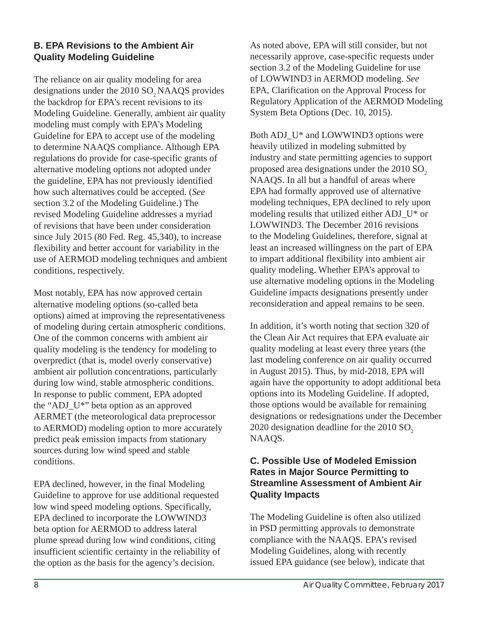#### **B. EPA Revisions to the Ambient Air Quality Modeling Guideline**

The reliance on air quality modeling for area designations under the 2010 SO<sub>2</sub> NAAQS provides the backdrop for EPA's recent revisions to its Modeling Guideline. Generally, ambient air quality modeling must comply with EPA's Modeling Guideline for EPA to accept use of the modeling to determine NAAQS compliance. Although EPA regulations do provide for case-specific grants of alternative modeling options not adopted under the guideline, EPA has not previously identified how such alternatives could be accepted. (*See*  section 3.2 of the Modeling Guideline.) The revised Modeling Guideline addresses a myriad of revisions that have been under consideration since July 2015 (80 Fed. Reg. 45,340), to increase flexibility and better account for variability in the use of AERMOD modeling techniques and ambient conditions, respectively.

Most notably, EPA has now approved certain alternative modeling options (so-called beta options) aimed at improving the representativeness of modeling during certain atmospheric conditions. One of the common concerns with ambient air quality modeling is the tendency for modeling to overpredict (that is, model overly conservative) ambient air pollution concentrations, particularly during low wind, stable atmospheric conditions. In response to public comment, EPA adopted the "ADJ\_U\*" beta option as an approved AERMET (the meteorological data preprocessor to AERMOD) modeling option to more accurately predict peak emission impacts from stationary sources during low wind speed and stable conditions.

EPA declined, however, in the final Modeling Guideline to approve for use additional requested low wind speed modeling options. Specifically, EPA declined to incorporate the LOWWIND3 beta option for AERMOD to address lateral plume spread during low wind conditions, citing insufficient scientific certainty in the reliability of the option as the basis for the agency's decision.

As noted above, EPA will still consider, but not necessarily approve, case-specific requests under section 3.2 of the Modeling Guideline for use of LOWWIND3 in AERMOD modeling. *See*  EPA, Clarification on the Approval Process for Regulatory Application of the AERMOD Modeling System Beta Options (Dec. 10, 2015).

Both ADJ\_U\* and LOWWIND3 options were heavily utilized in modeling submitted by industry and state permitting agencies to support proposed area designations under the  $2010$  SO<sub>2</sub> NAAQS. In all but a handful of areas where EPA had formally approved use of alternative modeling techniques, EPA declined to rely upon modeling results that utilized either ADJ\_U\* or LOWWIND3. The December 2016 revisions to the Modeling Guidelines, therefore, signal at least an increased willingness on the part of EPA to impart additional flexibility into ambient air quality modeling. Whether EPA's approval to use alternative modeling options in the Modeling Guideline impacts designations presently under reconsideration and appeal remains to be seen.

In addition, it's worth noting that section 320 of the Clean Air Act requires that EPA evaluate air quality modeling at least every three years (the last modeling conference on air quality occurred in August 2015). Thus, by mid-2018, EPA will again have the opportunity to adopt additional beta options into its Modeling Guideline. If adopted, those options would be available for remaining designations or redesignations under the December 2020 designation deadline for the 2010  $SO<sub>2</sub>$ NAAQS.

#### **C. Possible Use of Modeled Emission Rates in Major Source Permitting to Streamline Assessment of Ambient Air Quality Impacts**

The Modeling Guideline is often also utilized in PSD permitting approvals to demonstrate compliance with the NAAQS. EPA's revised Modeling Guidelines, along with recently issued EPA guidance (see below), indicate that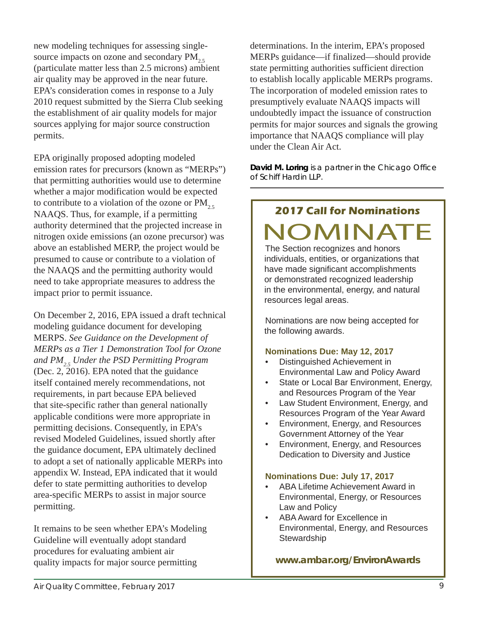new modeling techniques for assessing singlesource impacts on ozone and secondary  $PM_{2.5}$ (particulate matter less than 2.5 microns) ambient air quality may be approved in the near future. EPA's consideration comes in response to a July 2010 request submitted by the Sierra Club seeking the establishment of air quality models for major sources applying for major source construction permits.

EPA originally proposed adopting modeled emission rates for precursors (known as "MERPs") that permitting authorities would use to determine whether a major modification would be expected to contribute to a violation of the ozone or  $PM_{2.5}$ NAAQS. Thus, for example, if a permitting authority determined that the projected increase in nitrogen oxide emissions (an ozone precursor) was above an established MERP, the project would be presumed to cause or contribute to a violation of the NAAQS and the permitting authority would need to take appropriate measures to address the impact prior to permit issuance.

On December 2, 2016, EPA issued a draft technical modeling guidance document for developing MERPS. *See Guidance on the Development of MERPs as a Tier 1 Demonstration Tool for Ozone and PM2.5 Under the PSD Permitting Program* (Dec. 2, 2016). EPA noted that the guidance itself contained merely recommendations, not requirements, in part because EPA believed that site-specific rather than general nationally applicable conditions were more appropriate in permitting decisions. Consequently, in EPA's revised Modeled Guidelines, issued shortly after the guidance document, EPA ultimately declined to adopt a set of nationally applicable MERPs into appendix W. Instead, EPA indicated that it would defer to state permitting authorities to develop area-specific MERPs to assist in major source permitting.

It remains to be seen whether EPA's Modeling Guideline will eventually adopt standard procedures for evaluating ambient air quality impacts for major source permitting

determinations. In the interim, EPA's proposed MERPs guidance—if finalized—should provide state permitting authorities sufficient direction to establish locally applicable MERPs programs. The incorporation of modeled emission rates to presumptively evaluate NAAQS impacts will undoubtedly impact the issuance of construction permits for major sources and signals the growing importance that NAAQS compliance will play under the Clean Air Act.

**David M. Loring** *is a partner in the Chicago Office of Schiff Hardin LLP.*

# **2017 Call for Nominations** OMINA

The Section recognizes and honors individuals, entities, or organizations that have made significant accomplishments or demonstrated recognized leadership in the environmental, energy, and natural resources legal areas.

Nominations are now being accepted for the following awards.

#### **Nominations Due: May 12, 2017**

- Distinguished Achievement in Environmental Law and Policy Award
- State or Local Bar Environment, Energy, and Resources Program of the Year
- Law Student Environment, Energy, and Resources Program of the Year Award
- Environment, Energy, and Resources Government Attorney of the Year
- Environment, Energy, and Resources Dedication to Diversity and Justice

#### **Nominations Due: July 17, 2017**

- ABA Lifetime Achievement Award in Environmental, Energy, or Resources Law and Policy
- ABA Award for Excellence in Environmental, Energy, and Resources **Stewardship**

**www.ambar.org/EnvironAwards**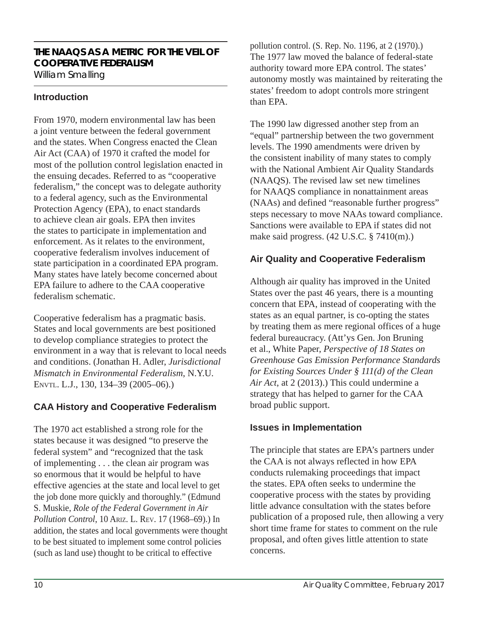# **THE NAAQS AS A METRIC FOR THE VEIL OF COOPERATIVE FEDERALISM**

William Smalling

#### **Introduction**

From 1970, modern environmental law has been a joint venture between the federal government and the states. When Congress enacted the Clean Air Act (CAA) of 1970 it crafted the model for most of the pollution control legislation enacted in the ensuing decades. Referred to as "cooperative federalism," the concept was to delegate authority to a federal agency, such as the Environmental Protection Agency (EPA), to enact standards to achieve clean air goals. EPA then invites the states to participate in implementation and enforcement. As it relates to the environment, cooperative federalism involves inducement of state participation in a coordinated EPA program. Many states have lately become concerned about EPA failure to adhere to the CAA cooperative federalism schematic.

Cooperative federalism has a pragmatic basis. States and local governments are best positioned to develop compliance strategies to protect the environment in a way that is relevant to local needs and conditions. (Jonathan H. Adler, *Jurisdictional Mismatch in Environmental Federalism*, N.Y.U. ENVTL. L.J., 130, 134–39 (2005–06).)

# **CAA History and Cooperative Federalism**

The 1970 act established a strong role for the states because it was designed "to preserve the federal system" and "recognized that the task of implementing . . . the clean air program was so enormous that it would be helpful to have effective agencies at the state and local level to get the job done more quickly and thoroughly." (Edmund S. Muskie, *Role of the Federal Government in Air Pollution Control*, 10 ARIZ. L. REV. 17 (1968–69).) In addition, the states and local governments were thought to be best situated to implement some control policies (such as land use) thought to be critical to effective

pollution control. (S. Rep. No. 1196, at 2 (1970).) The 1977 law moved the balance of federal-state authority toward more EPA control. The states' autonomy mostly was maintained by reiterating the states' freedom to adopt controls more stringent than EPA.

The 1990 law digressed another step from an "equal" partnership between the two government levels. The 1990 amendments were driven by the consistent inability of many states to comply with the National Ambient Air Quality Standards (NAAQS). The revised law set new timelines for NAAQS compliance in nonattainment areas (NAAs) and defined "reasonable further progress" steps necessary to move NAAs toward compliance. Sanctions were available to EPA if states did not make said progress. (42 U.S.C. § 7410(m).)

#### **Air Quality and Cooperative Federalism**

Although air quality has improved in the United States over the past 46 years, there is a mounting concern that EPA, instead of cooperating with the states as an equal partner, is co-opting the states by treating them as mere regional offices of a huge federal bureaucracy. (Att'ys Gen. Jon Bruning et al., White Paper, *Perspective of 18 States on Greenhouse Gas Emission Performance Standards for Existing Sources Under § 111(d) of the Clean Air Act*, at 2 (2013).) This could undermine a strategy that has helped to garner for the CAA broad public support.

#### **Issues in Implementation**

The principle that states are EPA's partners under the CAA is not always reflected in how EPA conducts rulemaking proceedings that impact the states. EPA often seeks to undermine the cooperative process with the states by providing little advance consultation with the states before publication of a proposed rule, then allowing a very short time frame for states to comment on the rule proposal, and often gives little attention to state concerns.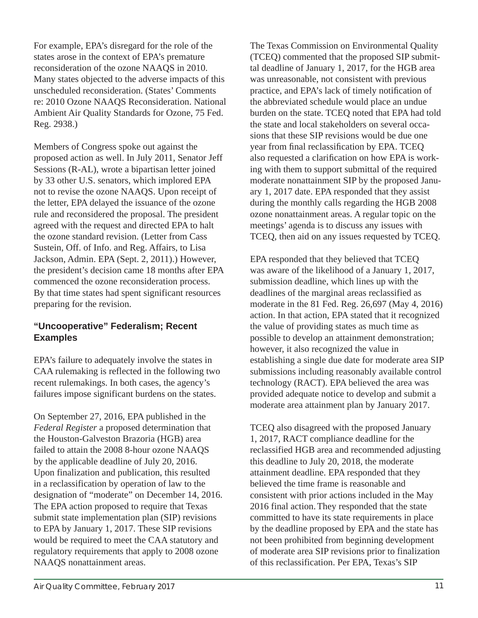For example, EPA's disregard for the role of the states arose in the context of EPA's premature reconsideration of the ozone NAAQS in 2010. Many states objected to the adverse impacts of this unscheduled reconsideration. (States' Comments re: 2010 Ozone NAAQS Reconsideration. National Ambient Air Quality Standards for Ozone, 75 Fed. Reg. 2938.)

Members of Congress spoke out against the proposed action as well. In July 2011, Senator Jeff Sessions (R-AL), wrote a bipartisan letter joined by 33 other U.S. senators, which implored EPA not to revise the ozone NAAQS. Upon receipt of the letter, EPA delayed the issuance of the ozone rule and reconsidered the proposal. The president agreed with the request and directed EPA to halt the ozone standard revision. (Letter from Cass Sustein, Off. of Info. and Reg. Affairs, to Lisa Jackson, Admin. EPA (Sept. 2, 2011).) However, the president's decision came 18 months after EPA commenced the ozone reconsideration process. By that time states had spent significant resources preparing for the revision.

#### **"Uncooperative" Federalism; Recent Examples**

EPA's failure to adequately involve the states in CAA rulemaking is reflected in the following two recent rulemakings. In both cases, the agency's failures impose significant burdens on the states.

On September 27, 2016, EPA published in the *Federal Register* a proposed determination that the Houston-Galveston Brazoria (HGB) area failed to attain the 2008 8-hour ozone NAAQS by the applicable deadline of July 20, 2016. Upon finalization and publication, this resulted in a reclassification by operation of law to the designation of "moderate" on December 14, 2016. The EPA action proposed to require that Texas submit state implementation plan (SIP) revisions to EPA by January 1, 2017. These SIP revisions would be required to meet the CAA statutory and regulatory requirements that apply to 2008 ozone NAAQS nonattainment areas.

The Texas Commission on Environmental Quality (TCEQ) commented that the proposed SIP submittal deadline of January 1, 2017, for the HGB area was unreasonable, not consistent with previous practice, and EPA's lack of timely notification of the abbreviated schedule would place an undue burden on the state. TCEQ noted that EPA had told the state and local stakeholders on several occasions that these SIP revisions would be due one year from final reclassification by EPA. TCEQ also requested a clarification on how EPA is working with them to support submittal of the required moderate nonattainment SIP by the proposed January 1, 2017 date. EPA responded that they assist during the monthly calls regarding the HGB 2008 ozone nonattainment areas. A regular topic on the meetings' agenda is to discuss any issues with TCEQ, then aid on any issues requested by TCEQ.

EPA responded that they believed that TCEQ was aware of the likelihood of a January 1, 2017, submission deadline, which lines up with the deadlines of the marginal areas reclassified as moderate in the 81 Fed. Reg. 26,697 (May 4, 2016) action. In that action, EPA stated that it recognized the value of providing states as much time as possible to develop an attainment demonstration; however, it also recognized the value in establishing a single due date for moderate area SIP submissions including reasonably available control technology (RACT). EPA believed the area was provided adequate notice to develop and submit a moderate area attainment plan by January 2017.

TCEQ also disagreed with the proposed January 1, 2017, RACT compliance deadline for the reclassified HGB area and recommended adjusting this deadline to July 20, 2018, the moderate attainment deadline. EPA responded that they believed the time frame is reasonable and consistent with prior actions included in the May 2016 final action.They responded that the state committed to have its state requirements in place by the deadline proposed by EPA and the state has not been prohibited from beginning development of moderate area SIP revisions prior to finalization of this reclassification. Per EPA, Texas's SIP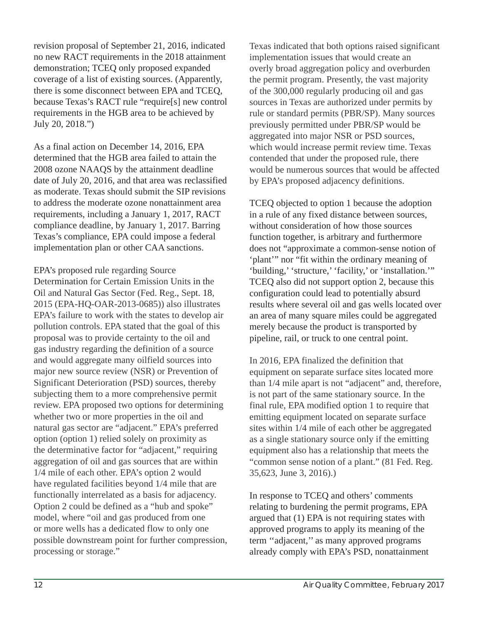revision proposal of September 21, 2016, indicated no new RACT requirements in the 2018 attainment demonstration; TCEQ only proposed expanded coverage of a list of existing sources. (Apparently, there is some disconnect between EPA and TCEQ, because Texas's RACT rule "require[s] new control requirements in the HGB area to be achieved by July 20, 2018.")

As a final action on December 14, 2016, EPA determined that the HGB area failed to attain the 2008 ozone NAAQS by the attainment deadline date of July 20, 2016, and that area was reclassified as moderate. Texas should submit the SIP revisions to address the moderate ozone nonattainment area requirements, including a January 1, 2017, RACT compliance deadline, by January 1, 2017. Barring Texas's compliance, EPA could impose a federal implementation plan or other CAA sanctions.

EPA's proposed rule regarding Source Determination for Certain Emission Units in the Oil and Natural Gas Sector (Fed. Reg., Sept. 18, 2015 (EPA-HQ-OAR-2013-0685)) also illustrates EPA's failure to work with the states to develop air pollution controls. EPA stated that the goal of this proposal was to provide certainty to the oil and gas industry regarding the definition of a source and would aggregate many oilfield sources into major new source review (NSR) or Prevention of Significant Deterioration (PSD) sources, thereby subjecting them to a more comprehensive permit review. EPA proposed two options for determining whether two or more properties in the oil and natural gas sector are "adjacent." EPA's preferred option (option 1) relied solely on proximity as the determinative factor for "adjacent," requiring aggregation of oil and gas sources that are within 1/4 mile of each other. EPA's option 2 would have regulated facilities beyond 1/4 mile that are functionally interrelated as a basis for adjacency. Option 2 could be defined as a "hub and spoke" model, where "oil and gas produced from one or more wells has a dedicated flow to only one possible downstream point for further compression, processing or storage."

Texas indicated that both options raised significant implementation issues that would create an overly broad aggregation policy and overburden the permit program. Presently, the vast majority of the 300,000 regularly producing oil and gas sources in Texas are authorized under permits by rule or standard permits (PBR/SP). Many sources previously permitted under PBR/SP would be aggregated into major NSR or PSD sources, which would increase permit review time. Texas contended that under the proposed rule, there would be numerous sources that would be affected by EPA's proposed adjacency definitions.

TCEQ objected to option 1 because the adoption in a rule of any fixed distance between sources, without consideration of how those sources function together, is arbitrary and furthermore does not "approximate a common-sense notion of 'plant'" nor "fit within the ordinary meaning of 'building,' 'structure,' 'facility,' or 'installation.'" TCEQ also did not support option 2, because this configuration could lead to potentially absurd results where several oil and gas wells located over an area of many square miles could be aggregated merely because the product is transported by pipeline, rail, or truck to one central point.

In 2016, EPA finalized the definition that equipment on separate surface sites located more than 1/4 mile apart is not "adjacent" and, therefore, is not part of the same stationary source. In the final rule, EPA modified option 1 to require that emitting equipment located on separate surface sites within 1/4 mile of each other be aggregated as a single stationary source only if the emitting equipment also has a relationship that meets the "common sense notion of a plant." (81 Fed. Reg. 35,623, June 3, 2016).)

In response to TCEQ and others' comments relating to burdening the permit programs, EPA argued that (1) EPA is not requiring states with approved programs to apply its meaning of the term ''adjacent,'' as many approved programs already comply with EPA's PSD, nonattainment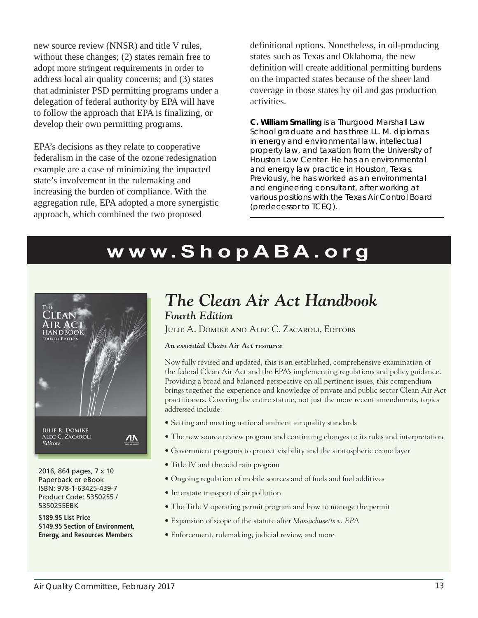new source review (NNSR) and title V rules, without these changes; (2) states remain free to adopt more stringent requirements in order to address local air quality concerns; and (3) states that administer PSD permitting programs under a delegation of federal authority by EPA will have to follow the approach that EPA is finalizing, or develop their own permitting programs.

EPA's decisions as they relate to cooperative federalism in the case of the ozone redesignation example are a case of minimizing the impacted state's involvement in the rulemaking and increasing the burden of compliance. With the aggregation rule, EPA adopted a more synergistic approach, which combined the two proposed

definitional options. Nonetheless, in oil-producing states such as Texas and Oklahoma, the new definition will create additional permitting burdens on the impacted states because of the sheer land coverage in those states by oil and gas production activities.

**C. William Smalling** *is a Thurgood Marshall Law School graduate and has three LL. M. diplomas in energy and environmental law, intellectual property law, and taxation from the University of Houston Law Center. He has an environmental and energy law practice in Houston, Texas. Previously, he has worked as an environmental and engineering consultant, after working at various positions with the Texas Air Control Board (predecessor to TCEQ).*

# **w w w.ShopA B A.org**



2016, 864 pages, 7 x 10 Paperback or eBook ISBN: 978-1-63425-439-7 Product Code: 5350255 / 5350255EBK

**\$189.95 List Price \$149.95 Section of Environment, Energy, and Resources Members**

# *The Clean Air Act Handbook Fourth Edition*

Julie A. Domike and Alec C. Zacaroli, Editors

#### *An essential Clean Air Act resource*

Now fully revised and updated, this is an established, comprehensive examination of the federal Clean Air Act and the EPA's implementing regulations and policy guidance. Providing a broad and balanced perspective on all pertinent issues, this compendium brings together the experience and knowledge of private and public sector Clean Air Act practitioners. Covering the entire statute, not just the more recent amendments, topics addressed include:

- Setting and meeting national ambient air quality standards
- The new source review program and continuing changes to its rules and interpretation
- Government programs to protect visibility and the stratospheric ozone layer
- Title IV and the acid rain program
- Ongoing regulation of mobile sources and of fuels and fuel additives
- Interstate transport of air pollution
- The Title V operating permit program and how to manage the permit
- Expansion of scope of the statute after *Massachusetts v. EPA*
- Enforcement, rulemaking, judicial review, and more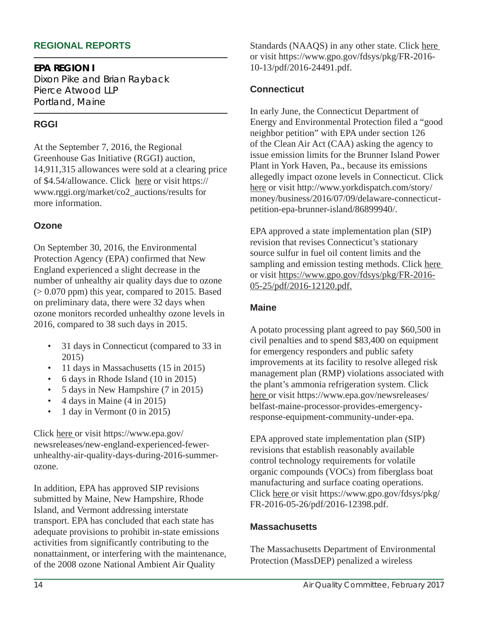#### **REGIONAL REPORTS**

**EPA REGION I** Dixon Pike and Brian Rayback *Pierce Atwood LLP Portland, Maine*

## **RGGI**

At the September 7, 2016, the Regional Greenhouse Gas Initiative (RGGI) auction, 14,911,315 allowances were sold at a clearing price of \$4.54/allowance. Click here or visit https:// www.rggi.org/market/co2\_auctions/results for more information.

#### **Ozone**

On September 30, 2016, the Environmental Protection Agency (EPA) confirmed that New England experienced a slight decrease in the number of unhealthy air quality days due to ozone  $(> 0.070$  ppm) this year, compared to 2015. Based on preliminary data, there were 32 days when ozone monitors recorded unhealthy ozone levels in 2016, compared to 38 such days in 2015.

- 31 days in Connecticut (compared to 33 in 2015)
- 11 days in Massachusetts (15 in 2015)
- 6 days in Rhode Island (10 in 2015)
- 5 days in New Hampshire (7 in 2015)
- $\bullet$  4 days in Maine  $(4 \text{ in } 2015)$
- 1 day in Vermont (0 in 2015)

Click here or visit https://www.epa.gov/ newsreleases/new-england-experienced-fewerunhealthy-air-quality-days-during-2016-summerozone.

In addition, EPA has approved SIP revisions submitted by Maine, New Hampshire, Rhode Island, and Vermont addressing interstate transport. EPA has concluded that each state has adequate provisions to prohibit in-state emissions activities from significantly contributing to the nonattainment, or interfering with the maintenance, of the 2008 ozone National Ambient Air Quality

Standards (NAAQS) in any other state. Click here or visit https://www.gpo.gov/fdsys/pkg/FR-2016- 10-13/pdf/2016-24491.pdf.

#### **Connecticut**

In early June, the Connecticut Department of Energy and Environmental Protection filed a "good neighbor petition" with EPA under section 126 of the Clean Air Act (CAA) asking the agency to issue emission limits for the Brunner Island Power Plant in York Haven, Pa., because its emissions allegedly impact ozone levels in Connecticut. Click here or visit http://www.yorkdispatch.com/story/ money/business/2016/07/09/delaware-connecticutpetition-epa-brunner-island/86899940/.

EPA approved a state implementation plan (SIP) revision that revises Connecticut's stationary source sulfur in fuel oil content limits and the sampling and emission testing methods. Click here or visit https://www.gpo.gov/fdsys/pkg/FR-2016- 05-25/pdf/2016-12120.pdf.

#### **Maine**

A potato processing plant agreed to pay \$60,500 in civil penalties and to spend \$83,400 on equipment for emergency responders and public safety improvements at its facility to resolve alleged risk management plan (RMP) violations associated with the plant's ammonia refrigeration system. Click here or visit https://www.epa.gov/newsreleases/ belfast-maine-processor-provides-emergencyresponse-equipment-community-under-epa.

EPA approved state implementation plan (SIP) revisions that establish reasonably available control technology requirements for volatile organic compounds (VOCs) from fiberglass boat manufacturing and surface coating operations. Click here or visit https://www.gpo.gov/fdsys/pkg/ FR-2016-05-26/pdf/2016-12398.pdf.

#### **Massachusetts**

The Massachusetts Department of Environmental Protection (MassDEP) penalized a wireless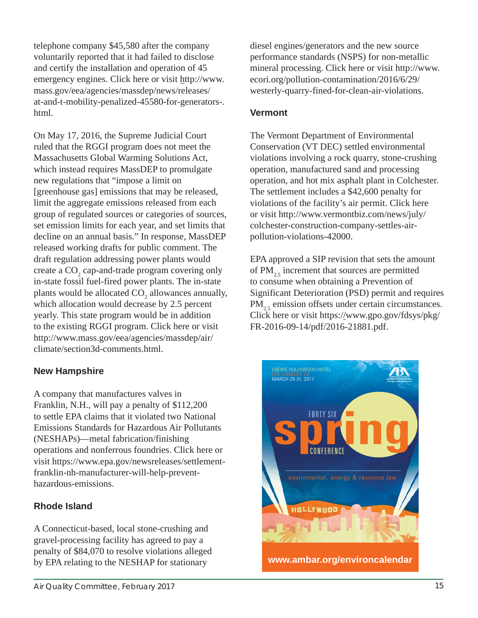telephone company \$45,580 after the company voluntarily reported that it had failed to disclose and certify the installation and operation of 45 emergency engines. Click here or visit http://www. mass.gov/eea/agencies/massdep/news/releases/ at-and-t-mobility-penalized-45580-for-generators-. html.

On May 17, 2016, the Supreme Judicial Court ruled that the RGGI program does not meet the Massachusetts Global Warming Solutions Act, which instead requires MassDEP to promulgate new regulations that "impose a limit on [greenhouse gas] emissions that may be released, limit the aggregate emissions released from each group of regulated sources or categories of sources, set emission limits for each year, and set limits that decline on an annual basis." In response, MassDEP released working drafts for public comment. The draft regulation addressing power plants would create a  $CO<sub>2</sub>$  cap-and-trade program covering only in-state fossil fuel-fired power plants. The in-state plants would be allocated  $CO_2$  allowances annually, which allocation would decrease by 2.5 percent yearly. This state program would be in addition to the existing RGGI program. Click here or visit http://www.mass.gov/eea/agencies/massdep/air/ climate/section3d-comments.html.

#### **New Hampshire**

A company that manufactures valves in Franklin, N.H., will pay a penalty of \$112,200 to settle EPA claims that it violated two National Emissions Standards for Hazardous Air Pollutants (NESHAPs)—metal fabrication/finishing operations and nonferrous foundries. Click here or visit https://www.epa.gov/newsreleases/settlementfranklin-nh-manufacturer-will-help-preventhazardous-emissions.

#### **Rhode Island**

A Connecticut-based, local stone-crushing and gravel-processing facility has agreed to pay a penalty of \$84,070 to resolve violations alleged by EPA relating to the NESHAP for stationary

Air Quality Committee, February 2017 15

diesel engines/generators and the new source performance standards (NSPS) for non-metallic mineral processing. Click here or visit http://www. ecori.org/pollution-contamination/2016/6/29/ westerly-quarry-fined-for-clean-air-violations.

#### **Vermont**

The Vermont Department of Environmental Conservation (VT DEC) settled environmental violations involving a rock quarry, stone-crushing operation, manufactured sand and processing operation, and hot mix asphalt plant in Colchester. The settlement includes a \$42,600 penalty for violations of the facility's air permit. Click here or visit http://www.vermontbiz.com/news/july/ colchester-construction-company-settles-airpollution-violations-42000.

EPA approved a SIP revision that sets the amount of  $PM_{25}$  increment that sources are permitted to consume when obtaining a Prevention of Significant Deterioration (PSD) permit and requires  $PM_{25}$  emission offsets under certain circumstances. Click here or visit https://www.gpo.gov/fdsys/pkg/ FR-2016-09-14/pdf/2016-21881.pdf.

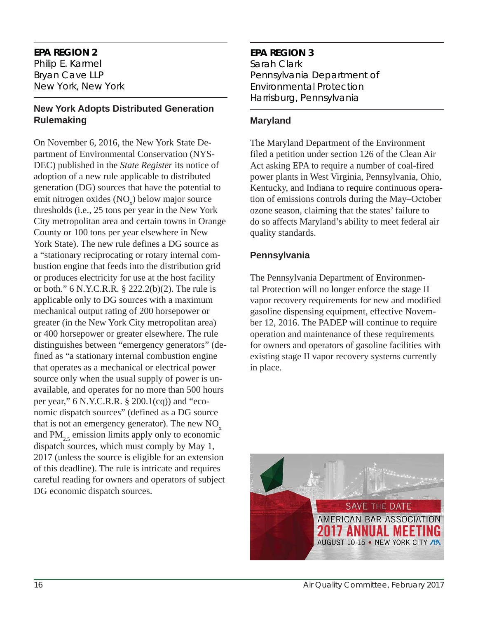#### **EPA REGION 2**

Philip E. Karmel *Bryan Cave LLP New York, New York*

#### **New York Adopts Distributed Generation Rulemaking**

On November 6, 2016, the New York State Department of Environmental Conservation (NYS-DEC) published in the *State Register* its notice of adoption of a new rule applicable to distributed generation (DG) sources that have the potential to emit nitrogen oxides (NO<sub>x</sub>) below major source thresholds (i.e., 25 tons per year in the New York City metropolitan area and certain towns in Orange County or 100 tons per year elsewhere in New York State). The new rule defines a DG source as a "stationary reciprocating or rotary internal combustion engine that feeds into the distribution grid or produces electricity for use at the host facility or both." 6 N.Y.C.R.R. § 222.2(b)(2). The rule is applicable only to DG sources with a maximum mechanical output rating of 200 horsepower or greater (in the New York City metropolitan area) or 400 horsepower or greater elsewhere. The rule distinguishes between "emergency generators" (defined as "a stationary internal combustion engine that operates as a mechanical or electrical power source only when the usual supply of power is unavailable, and operates for no more than 500 hours per year," 6 N.Y.C.R.R. § 200.1(cq)) and "economic dispatch sources" (defined as a DG source that is not an emergency generator). The new  $NO<sub>x</sub>$ and  $PM_{2,5}$  emission limits apply only to economic dispatch sources, which must comply by May 1, 2017 (unless the source is eligible for an extension of this deadline). The rule is intricate and requires careful reading for owners and operators of subject DG economic dispatch sources.

# **EPA REGION 3**

Sarah Clark *Pennsylvania Department of Environmental Protection Harrisburg, Pennsylvania*

#### **Maryland**

The Maryland Department of the Environment filed a petition under section 126 of the Clean Air Act asking EPA to require a number of coal-fired power plants in West Virginia, Pennsylvania, Ohio, Kentucky, and Indiana to require continuous operation of emissions controls during the May–October ozone season, claiming that the states' failure to do so affects Maryland's ability to meet federal air quality standards.

#### **Pennsylvania**

The Pennsylvania Department of Environmental Protection will no longer enforce the stage II vapor recovery requirements for new and modified gasoline dispensing equipment, effective November 12, 2016. The PADEP will continue to require operation and maintenance of these requirements for owners and operators of gasoline facilities with existing stage II vapor recovery systems currently in place.

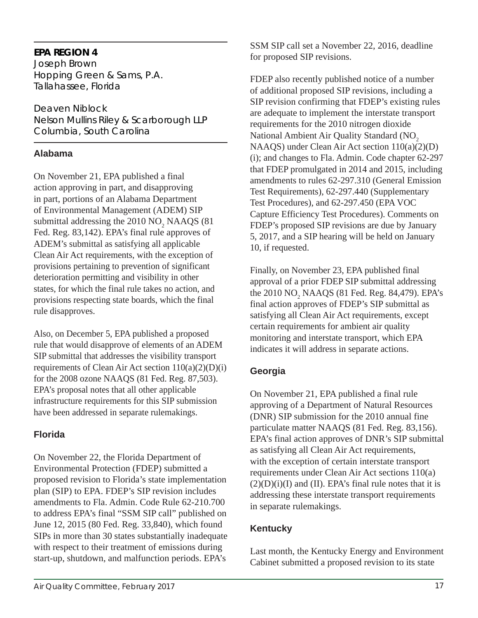## **EPA REGION 4**

Joseph Brown *Hopping Green & Sams, P.A. Tallahassee, Florida*

Deaven Niblock *Nelson Mullins Riley & Scarborough LLP Columbia, South Carolina*

## **Alabama**

On November 21, EPA published a final action approving in part, and disapproving in part, portions of an Alabama Department of Environmental Management (ADEM) SIP submittal addressing the  $2010 \text{ NO}_2 \text{ NAAQS}$  (81) Fed. Reg. 83,142). EPA's final rule approves of ADEM's submittal as satisfying all applicable Clean Air Act requirements, with the exception of provisions pertaining to prevention of significant deterioration permitting and visibility in other states, for which the final rule takes no action, and provisions respecting state boards, which the final rule disapproves.

Also, on December 5, EPA published a proposed rule that would disapprove of elements of an ADEM SIP submittal that addresses the visibility transport requirements of Clean Air Act section  $110(a)(2)(D)(i)$ for the 2008 ozone NAAQS (81 Fed. Reg. 87,503). EPA's proposal notes that all other applicable infrastructure requirements for this SIP submission have been addressed in separate rulemakings.

# **Florida**

 On November 22, the Florida Department of Environmental Protection (FDEP) submitted a proposed revision to Florida's state implementation plan (SIP) to EPA. FDEP's SIP revision includes amendments to Fla. Admin. Code Rule 62-210.700 to address EPA's final "SSM SIP call" published on June 12, 2015 (80 Fed. Reg. 33,840), which found SIPs in more than 30 states substantially inadequate with respect to their treatment of emissions during start-up, shutdown, and malfunction periods. EPA's

SSM SIP call set a November 22, 2016, deadline for proposed SIP revisions.

FDEP also recently published notice of a number of additional proposed SIP revisions, including a SIP revision confirming that FDEP's existing rules are adequate to implement the interstate transport requirements for the 2010 nitrogen dioxide National Ambient Air Quality Standard (NO<sub>2</sub>) NAAQS) under Clean Air Act section 110(a)(2)(D) (i); and changes to Fla. Admin. Code chapter 62-297 that FDEP promulgated in 2014 and 2015, including amendments to rules 62-297.310 (General Emission Test Requirements), 62-297.440 (Supplementary Test Procedures), and 62-297.450 (EPA VOC Capture Efficiency Test Procedures). Comments on FDEP's proposed SIP revisions are due by January 5, 2017, and a SIP hearing will be held on January 10, if requested.

Finally, on November 23, EPA published final approval of a prior FDEP SIP submittal addressing the 2010  $NO_2$  NAAQS (81 Fed. Reg. 84,479). EPA's final action approves of FDEP's SIP submittal as satisfying all Clean Air Act requirements, except certain requirements for ambient air quality monitoring and interstate transport, which EPA indicates it will address in separate actions.

# **Georgia**

On November 21, EPA published a final rule approving of a Department of Natural Resources (DNR) SIP submission for the 2010 annual fine particulate matter NAAQS (81 Fed. Reg. 83,156). EPA's final action approves of DNR's SIP submittal as satisfying all Clean Air Act requirements, with the exception of certain interstate transport requirements under Clean Air Act sections 110(a)  $(2)(D)(i)(I)$  and  $(II)$ . EPA's final rule notes that it is addressing these interstate transport requirements in separate rulemakings.

# **Kentucky**

Last month, the Kentucky Energy and Environment Cabinet submitted a proposed revision to its state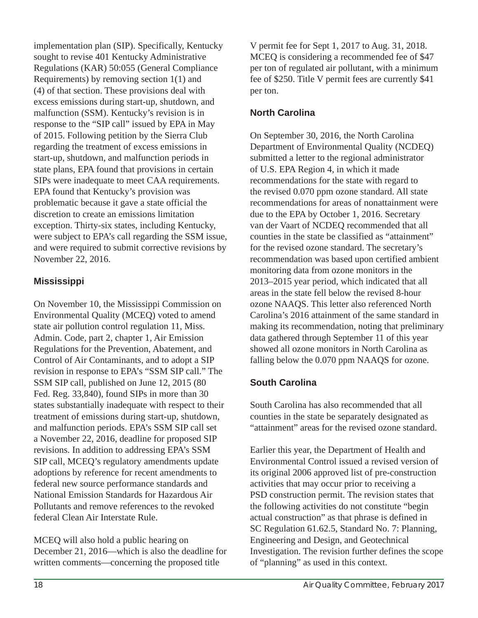implementation plan (SIP). Specifically, Kentucky sought to revise 401 Kentucky Administrative Regulations (KAR) 50:055 (General Compliance Requirements) by removing section 1(1) and (4) of that section. These provisions deal with excess emissions during start-up, shutdown, and malfunction (SSM). Kentucky's revision is in response to the "SIP call" issued by EPA in May of 2015. Following petition by the Sierra Club regarding the treatment of excess emissions in start-up, shutdown, and malfunction periods in state plans, EPA found that provisions in certain SIPs were inadequate to meet CAA requirements. EPA found that Kentucky's provision was problematic because it gave a state official the discretion to create an emissions limitation exception. Thirty-six states, including Kentucky, were subject to EPA's call regarding the SSM issue, and were required to submit corrective revisions by November 22, 2016.

#### **Mississippi**

On November 10, the Mississippi Commission on Environmental Quality (MCEQ) voted to amend state air pollution control regulation 11, Miss. Admin. Code, part 2, chapter 1, Air Emission Regulations for the Prevention, Abatement, and Control of Air Contaminants, and to adopt a SIP revision in response to EPA's "SSM SIP call." The SSM SIP call, published on June 12, 2015 (80 Fed. Reg. 33,840), found SIPs in more than 30 states substantially inadequate with respect to their treatment of emissions during start-up, shutdown, and malfunction periods. EPA's SSM SIP call set a November 22, 2016, deadline for proposed SIP revisions. In addition to addressing EPA's SSM SIP call, MCEQ's regulatory amendments update adoptions by reference for recent amendments to federal new source performance standards and National Emission Standards for Hazardous Air Pollutants and remove references to the revoked federal Clean Air Interstate Rule.

MCEQ will also hold a public hearing on December 21, 2016—which is also the deadline for written comments—concerning the proposed title

V permit fee for Sept 1, 2017 to Aug. 31, 2018. MCEQ is considering a recommended fee of \$47 per ton of regulated air pollutant, with a minimum fee of \$250. Title V permit fees are currently \$41 per ton.

# **North Carolina**

On September 30, 2016, the North Carolina Department of Environmental Quality (NCDEQ) submitted a letter to the regional administrator of U.S. EPA Region 4, in which it made recommendations for the state with regard to the revised 0.070 ppm ozone standard. All state recommendations for areas of nonattainment were due to the EPA by October 1, 2016. Secretary van der Vaart of NCDEQ recommended that all counties in the state be classified as "attainment" for the revised ozone standard. The secretary's recommendation was based upon certified ambient monitoring data from ozone monitors in the 2013–2015 year period, which indicated that all areas in the state fell below the revised 8-hour ozone NAAQS. This letter also referenced North Carolina's 2016 attainment of the same standard in making its recommendation, noting that preliminary data gathered through September 11 of this year showed all ozone monitors in North Carolina as falling below the 0.070 ppm NAAQS for ozone.

# **South Carolina**

South Carolina has also recommended that all counties in the state be separately designated as "attainment" areas for the revised ozone standard.

Earlier this year, the Department of Health and Environmental Control issued a revised version of its original 2006 approved list of pre-construction activities that may occur prior to receiving a PSD construction permit. The revision states that the following activities do not constitute "begin actual construction" as that phrase is defined in SC Regulation 61.62.5, Standard No. 7: Planning, Engineering and Design, and Geotechnical Investigation. The revision further defines the scope of "planning" as used in this context.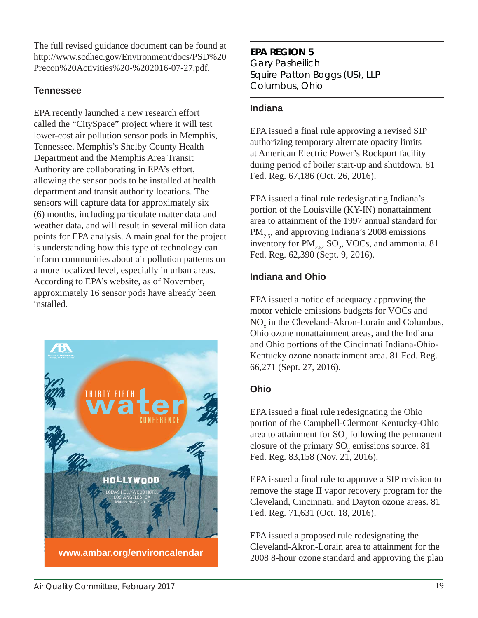The full revised guidance document can be found at http://www.scdhec.gov/Environment/docs/PSD%20 Precon%20Activities%20-%202016-07-27.pdf.

#### **Tennessee**

EPA recently launched a new research effort called the "CitySpace" project where it will test lower-cost air pollution sensor pods in Memphis, Tennessee. Memphis's Shelby County Health Department and the Memphis Area Transit Authority are collaborating in EPA's effort, allowing the sensor pods to be installed at health department and transit authority locations. The sensors will capture data for approximately six (6) months, including particulate matter data and weather data, and will result in several million data points for EPA analysis. A main goal for the project is understanding how this type of technology can inform communities about air pollution patterns on a more localized level, especially in urban areas. According to EPA's website, as of November, approximately 16 sensor pods have already been installed.



# **EPA REGION 5**

Gary Pasheilich *Squire Patton Boggs (US), LLP Columbus, Ohio*

#### **Indiana**

EPA issued a final rule approving a revised SIP authorizing temporary alternate opacity limits at American Electric Power's Rockport facility during period of boiler start-up and shutdown. 81 Fed. Reg. 67,186 (Oct. 26, 2016).

EPA issued a final rule redesignating Indiana's portion of the Louisville (KY-IN) nonattainment area to attainment of the 1997 annual standard for  $PM<sub>2.5</sub>$ , and approving Indiana's 2008 emissions inventory for  $PM_{2.5}$ ,  $SO_2$ , VOCs, and ammonia. 81 Fed. Reg. 62,390 (Sept. 9, 2016).

## **Indiana and Ohio**

EPA issued a notice of adequacy approving the motor vehicle emissions budgets for VOCs and  $NO<sub>x</sub>$  in the Cleveland-Akron-Lorain and Columbus, Ohio ozone nonattainment areas, and the Indiana and Ohio portions of the Cincinnati Indiana-Ohio-Kentucky ozone nonattainment area. 81 Fed. Reg. 66,271 (Sept. 27, 2016).

# **Ohio**

EPA issued a final rule redesignating the Ohio portion of the Campbell-Clermont Kentucky-Ohio area to attainment for  $SO_2$  following the permanent closure of the primary  $SO_2$  emissions source. 81 Fed. Reg. 83,158 (Nov. 21, 2016).

EPA issued a final rule to approve a SIP revision to remove the stage II vapor recovery program for the Cleveland, Cincinnati, and Dayton ozone areas. 81 Fed. Reg. 71,631 (Oct. 18, 2016).

EPA issued a proposed rule redesignating the Cleveland-Akron-Lorain area to attainment for the 2008 8-hour ozone standard and approving the plan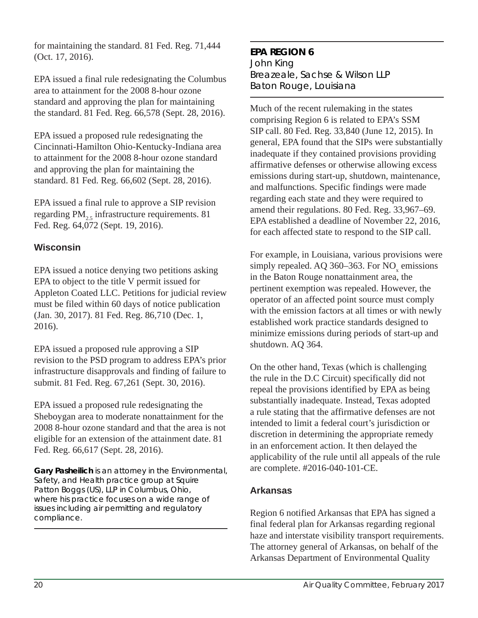for maintaining the standard. 81 Fed. Reg. 71,444 (Oct. 17, 2016).

EPA issued a final rule redesignating the Columbus area to attainment for the 2008 8-hour ozone standard and approving the plan for maintaining the standard. 81 Fed. Reg. 66,578 (Sept. 28, 2016).

EPA issued a proposed rule redesignating the Cincinnati-Hamilton Ohio-Kentucky-Indiana area to attainment for the 2008 8-hour ozone standard and approving the plan for maintaining the standard. 81 Fed. Reg. 66,602 (Sept. 28, 2016).

EPA issued a final rule to approve a SIP revision regarding  $PM<sub>2.5</sub>$  infrastructure requirements. 81 Fed. Reg. 64,072 (Sept. 19, 2016).

#### **Wisconsin**

EPA issued a notice denying two petitions asking EPA to object to the title V permit issued for Appleton Coated LLC. Petitions for judicial review must be filed within 60 days of notice publication (Jan. 30, 2017). 81 Fed. Reg. 86,710 (Dec. 1, 2016).

EPA issued a proposed rule approving a SIP revision to the PSD program to address EPA's prior infrastructure disapprovals and finding of failure to submit. 81 Fed. Reg. 67,261 (Sept. 30, 2016).

EPA issued a proposed rule redesignating the Sheboygan area to moderate nonattainment for the 2008 8-hour ozone standard and that the area is not eligible for an extension of the attainment date. 81 Fed. Reg. 66,617 (Sept. 28, 2016).

**Gary Pasheilich** *is an attorney in the Environmental, Safety, and Health practice group at Squire Patton Boggs (US), LLP in Columbus, Ohio, where his practice focuses on a wide range of issues including air permitting and regulatory compliance.*

#### **EPA REGION 6** John King *Breazeale, Sachse & Wilson LLP Baton Rouge, Louisiana*

Much of the recent rulemaking in the states comprising Region 6 is related to EPA's SSM SIP call. 80 Fed. Reg. 33,840 (June 12, 2015). In general, EPA found that the SIPs were substantially inadequate if they contained provisions providing affirmative defenses or otherwise allowing excess emissions during start-up, shutdown, maintenance, and malfunctions. Specific findings were made regarding each state and they were required to amend their regulations. 80 Fed. Reg. 33,967–69. EPA established a deadline of November 22, 2016, for each affected state to respond to the SIP call.

For example, in Louisiana, various provisions were simply repealed. AQ 360–363. For  $NO_x$  emissions in the Baton Rouge nonattainment area, the pertinent exemption was repealed. However, the operator of an affected point source must comply with the emission factors at all times or with newly established work practice standards designed to minimize emissions during periods of start-up and shutdown. AQ 364.

On the other hand, Texas (which is challenging the rule in the D.C Circuit) specifically did not repeal the provisions identified by EPA as being substantially inadequate. Instead, Texas adopted a rule stating that the affirmative defenses are not intended to limit a federal court's jurisdiction or discretion in determining the appropriate remedy in an enforcement action. It then delayed the applicability of the rule until all appeals of the rule are complete. #2016-040-101-CE.

#### **Arkansas**

Region 6 notified Arkansas that EPA has signed a final federal plan for Arkansas regarding regional haze and interstate visibility transport requirements. The attorney general of Arkansas, on behalf of the Arkansas Department of Environmental Quality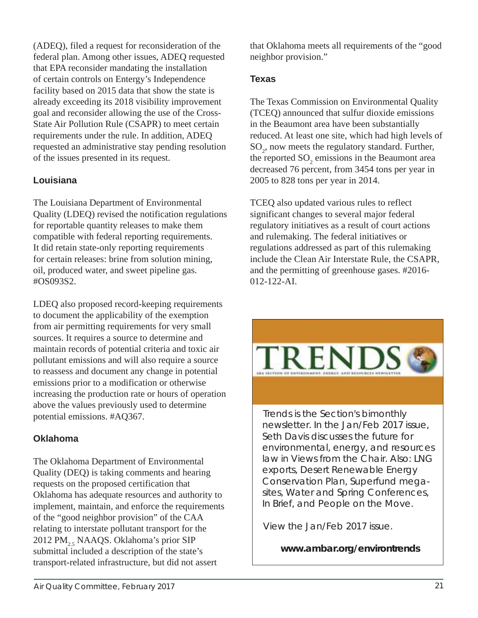(ADEQ), filed a request for reconsideration of the federal plan. Among other issues, ADEQ requested that EPA reconsider mandating the installation of certain controls on Entergy's Independence facility based on 2015 data that show the state is already exceeding its 2018 visibility improvement goal and reconsider allowing the use of the Cross-State Air Pollution Rule (CSAPR) to meet certain requirements under the rule. In addition, ADEQ requested an administrative stay pending resolution of the issues presented in its request.

# **Louisiana**

The Louisiana Department of Environmental Quality (LDEQ) revised the notification regulations for reportable quantity releases to make them compatible with federal reporting requirements. It did retain state-only reporting requirements for certain releases: brine from solution mining, oil, produced water, and sweet pipeline gas. #OS093S2.

LDEQ also proposed record-keeping requirements to document the applicability of the exemption from air permitting requirements for very small sources. It requires a source to determine and maintain records of potential criteria and toxic air pollutant emissions and will also require a source to reassess and document any change in potential emissions prior to a modification or otherwise increasing the production rate or hours of operation above the values previously used to determine potential emissions. #AQ367.

# **Oklahoma**

The Oklahoma Department of Environmental Quality (DEQ) is taking comments and hearing requests on the proposed certification that Oklahoma has adequate resources and authority to implement, maintain, and enforce the requirements of the "good neighbor provision" of the CAA relating to interstate pollutant transport for the 2012 PM<sub>2.5</sub> NAAQS. Oklahoma's prior SIP submittal included a description of the state's transport-related infrastructure, but did not assert

that Oklahoma meets all requirements of the "good neighbor provision."

## **Texas**

The Texas Commission on Environmental Quality (TCEQ) announced that sulfur dioxide emissions in the Beaumont area have been substantially reduced. At least one site, which had high levels of SO<sub>2</sub>, now meets the regulatory standard. Further, the reported  $SO_2$  emissions in the Beaumont area decreased 76 percent, from 3454 tons per year in 2005 to 828 tons per year in 2014.

TCEQ also updated various rules to reflect significant changes to several major federal regulatory initiatives as a result of court actions and rulemaking. The federal initiatives or regulations addressed as part of this rulemaking include the Clean Air Interstate Rule, the CSAPR, and the permitting of greenhouse gases. #2016- 012-122-AI.



newsletter. In the Jan/Feb 2017 issue, Seth Davis discusses the future for environmental, energy, and resources law in Views from the Chair. Also: LNG exports, Desert Renewable Energy Conservation Plan, Superfund megasites, Water and Spring Conferences, In Brief, and People on the Move.

View the Jan/Feb 2017 issue.

**www.ambar.org/environtrends**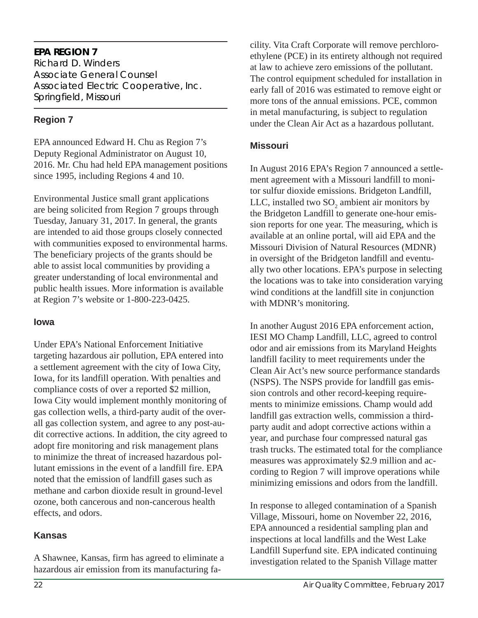#### **EPA REGION 7**

Richard D. Winders *Associate General Counsel Associated Electric Cooperative, Inc. Springfield, Missouri*

### **Region 7**

EPA announced Edward H. Chu as Region 7's Deputy Regional Administrator on August 10, 2016. Mr. Chu had held EPA management positions since 1995, including Regions 4 and 10.

Environmental Justice small grant applications are being solicited from Region 7 groups through Tuesday, January 31, 2017. In general, the grants are intended to aid those groups closely connected with communities exposed to environmental harms. The beneficiary projects of the grants should be able to assist local communities by providing a greater understanding of local environmental and public health issues. More information is available at Region 7's website or 1-800-223-0425.

#### **Iowa**

Under EPA's National Enforcement Initiative targeting hazardous air pollution, EPA entered into a settlement agreement with the city of Iowa City, Iowa, for its landfill operation. With penalties and compliance costs of over a reported \$2 million, Iowa City would implement monthly monitoring of gas collection wells, a third-party audit of the overall gas collection system, and agree to any post-audit corrective actions. In addition, the city agreed to adopt fire monitoring and risk management plans to minimize the threat of increased hazardous pollutant emissions in the event of a landfill fire. EPA noted that the emission of landfill gases such as methane and carbon dioxide result in ground-level ozone, both cancerous and non-cancerous health effects, and odors.

#### **Kansas**

A Shawnee, Kansas, firm has agreed to eliminate a hazardous air emission from its manufacturing fa-

cility. Vita Craft Corporate will remove perchloroethylene (PCE) in its entirety although not required at law to achieve zero emissions of the pollutant. The control equipment scheduled for installation in early fall of 2016 was estimated to remove eight or more tons of the annual emissions. PCE, common in metal manufacturing, is subject to regulation under the Clean Air Act as a hazardous pollutant.

#### **Missouri**

In August 2016 EPA's Region 7 announced a settlement agreement with a Missouri landfill to monitor sulfur dioxide emissions. Bridgeton Landfill, LLC, installed two  $\text{SO}_2$  ambient air monitors by the Bridgeton Landfill to generate one-hour emission reports for one year. The measuring, which is available at an online portal, will aid EPA and the Missouri Division of Natural Resources (MDNR) in oversight of the Bridgeton landfill and eventually two other locations. EPA's purpose in selecting the locations was to take into consideration varying wind conditions at the landfill site in conjunction with MDNR's monitoring.

In another August 2016 EPA enforcement action, IESI MO Champ Landfill, LLC, agreed to control odor and air emissions from its Maryland Heights landfill facility to meet requirements under the Clean Air Act's new source performance standards (NSPS). The NSPS provide for landfill gas emission controls and other record-keeping requirements to minimize emissions. Champ would add landfill gas extraction wells, commission a thirdparty audit and adopt corrective actions within a year, and purchase four compressed natural gas trash trucks. The estimated total for the compliance measures was approximately \$2.9 million and according to Region 7 will improve operations while minimizing emissions and odors from the landfill.

In response to alleged contamination of a Spanish Village, Missouri, home on November 22, 2016, EPA announced a residential sampling plan and inspections at local landfills and the West Lake Landfill Superfund site. EPA indicated continuing investigation related to the Spanish Village matter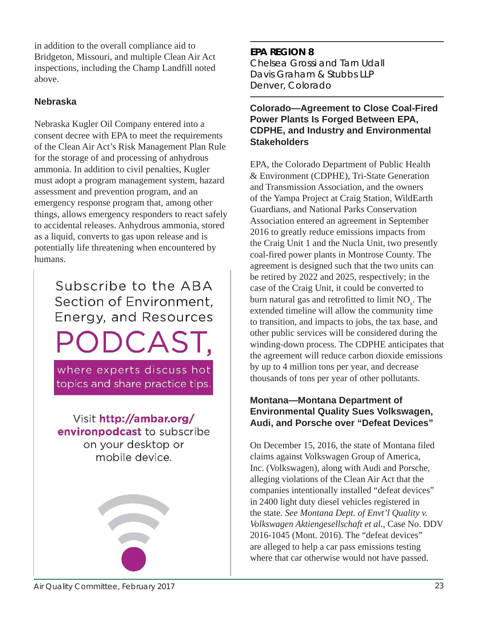in addition to the overall compliance aid to Bridgeton, Missouri, and multiple Clean Air Act inspections, including the Champ Landfill noted above.

#### **Nebraska**

Nebraska Kugler Oil Company entered into a consent decree with EPA to meet the requirements of the Clean Air Act's Risk Management Plan Rule for the storage of and processing of anhydrous ammonia. In addition to civil penalties, Kugler must adopt a program management system, hazard assessment and prevention program, and an emergency response program that, among other things, allows emergency responders to react safely to accidental releases. Anhydrous ammonia, stored as a liquid, converts to gas upon release and is potentially life threatening when encountered by humans.

> Subscribe to the ABA Section of Environment. Energy, and Resources ODCAST,

where experts discuss hot topics and share practice tips.

Visit http://ambar.org/ environpodcast to subscribe on your desktop or mobile device.



# **EPA REGION 8** Chelsea Grossi and Tarn Udall

*Davis Graham & Stubbs LLP Denver, Colorado*

#### **Colorado—Agreement to Close Coal-Fired Power Plants Is Forged Between EPA, CDPHE, and Industry and Environmental Stakeholders**

EPA, the Colorado Department of Public Health & Environment (CDPHE), Tri-State Generation and Transmission Association, and the owners of the Yampa Project at Craig Station, WildEarth Guardians, and National Parks Conservation Association entered an agreement in September 2016 to greatly reduce emissions impacts from the Craig Unit 1 and the Nucla Unit, two presently coal-fired power plants in Montrose County. The agreement is designed such that the two units can be retired by 2022 and 2025, respectively; in the case of the Craig Unit, it could be converted to burn natural gas and retrofitted to limit  $NO<sub>x</sub>$ . The extended timeline will allow the community time to transition, and impacts to jobs, the tax base, and other public services will be considered during the winding-down process. The CDPHE anticipates that the agreement will reduce carbon dioxide emissions by up to 4 million tons per year, and decrease thousands of tons per year of other pollutants.

#### **Montana—Montana Department of Environmental Quality Sues Volkswagen, Audi, and Porsche over "Defeat Devices"**

On December 15, 2016, the state of Montana filed claims against Volkswagen Group of America, Inc. (Volkswagen), along with Audi and Porsche, alleging violations of the Clean Air Act that the companies intentionally installed "defeat devices" in 2400 light duty diesel vehicles registered in the state. *See Montana Dept. of Envt'l Quality v. Volkswagen Aktiengesellschaft et al*., Case No. DDV 2016-1045 (Mont. 2016). The "defeat devices" are alleged to help a car pass emissions testing where that car otherwise would not have passed.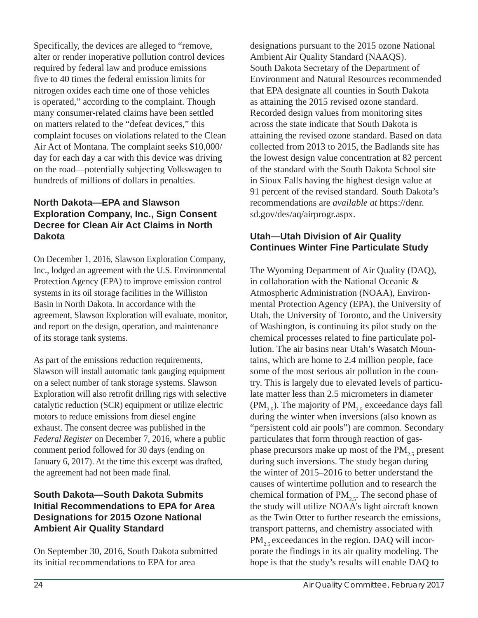Specifically, the devices are alleged to "remove, alter or render inoperative pollution control devices required by federal law and produce emissions five to 40 times the federal emission limits for nitrogen oxides each time one of those vehicles is operated," according to the complaint. Though many consumer-related claims have been settled on matters related to the "defeat devices," this complaint focuses on violations related to the Clean Air Act of Montana. The complaint seeks \$10,000/ day for each day a car with this device was driving on the road—potentially subjecting Volkswagen to hundreds of millions of dollars in penalties.

#### **North Dakota—EPA and Slawson Exploration Company, Inc., Sign Consent Decree for Clean Air Act Claims in North Dakota**

On December 1, 2016, Slawson Exploration Company, Inc., lodged an agreement with the U.S. Environmental Protection Agency (EPA) to improve emission control systems in its oil storage facilities in the Williston Basin in North Dakota. In accordance with the agreement, Slawson Exploration will evaluate, monitor, and report on the design, operation, and maintenance of its storage tank systems.

As part of the emissions reduction requirements, Slawson will install automatic tank gauging equipment on a select number of tank storage systems. Slawson Exploration will also retrofit drilling rigs with selective catalytic reduction (SCR) equipment or utilize electric motors to reduce emissions from diesel engine exhaust. The consent decree was published in the *Federal Register* on December 7, 2016, where a public comment period followed for 30 days (ending on January 6, 2017). At the time this excerpt was drafted, the agreement had not been made final.

#### **South Dakota—South Dakota Submits Initial Recommendations to EPA for Area Designations for 2015 Ozone National Ambient Air Quality Standard**

On September 30, 2016, South Dakota submitted its initial recommendations to EPA for area

designations pursuant to the 2015 ozone National Ambient Air Quality Standard (NAAQS). South Dakota Secretary of the Department of Environment and Natural Resources recommended that EPA designate all counties in South Dakota as attaining the 2015 revised ozone standard. Recorded design values from monitoring sites across the state indicate that South Dakota is attaining the revised ozone standard. Based on data collected from 2013 to 2015, the Badlands site has the lowest design value concentration at 82 percent of the standard with the South Dakota School site in Sioux Falls having the highest design value at 91 percent of the revised standard. South Dakota's recommendations are *available at* https://denr. sd.gov/des/aq/airprogr.aspx.

#### **Utah—Utah Division of Air Quality Continues Winter Fine Particulate Study**

The Wyoming Department of Air Quality (DAQ), in collaboration with the National Oceanic & Atmospheric Administration (NOAA), Environmental Protection Agency (EPA), the University of Utah, the University of Toronto, and the University of Washington, is continuing its pilot study on the chemical processes related to fine particulate pollution. The air basins near Utah's Wasatch Mountains, which are home to 2.4 million people, face some of the most serious air pollution in the country. This is largely due to elevated levels of particulate matter less than 2.5 micrometers in diameter (PM<sub>25</sub>). The majority of PM<sub>25</sub> exceedance days fall during the winter when inversions (also known as "persistent cold air pools") are common. Secondary particulates that form through reaction of gasphase precursors make up most of the  $PM_{2.5}$  present during such inversions. The study began during the winter of 2015–2016 to better understand the causes of wintertime pollution and to research the chemical formation of  $PM_{2.5}$ . The second phase of the study will utilize NOAA's light aircraft known as the Twin Otter to further research the emissions, transport patterns, and chemistry associated with  $PM_{2.5}$  exceedances in the region. DAQ will incorporate the findings in its air quality modeling. The hope is that the study's results will enable DAQ to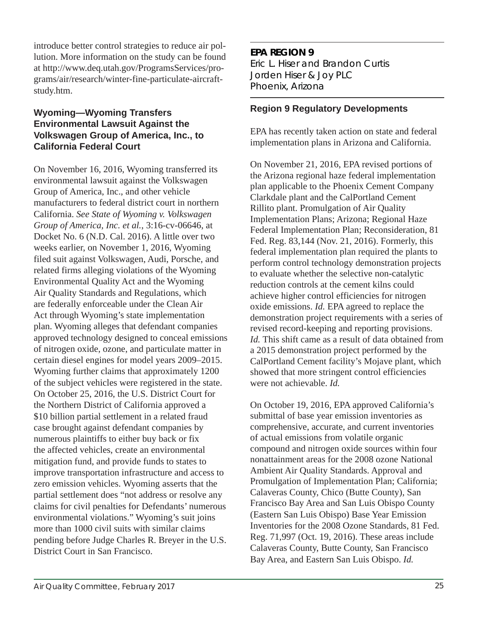introduce better control strategies to reduce air pollution. More information on the study can be found at http://www.deq.utah.gov/ProgramsServices/programs/air/research/winter-fine-particulate-aircraftstudy.htm.

#### **Wyoming—Wyoming Transfers Environmental Lawsuit Against the Volkswagen Group of America, Inc., to California Federal Court**

On November 16, 2016, Wyoming transferred its environmental lawsuit against the Volkswagen Group of America, Inc., and other vehicle manufacturers to federal district court in northern California. *See State of Wyoming v. Volkswagen Group of America, Inc. et al.*, 3:16-cv-06646, at Docket No. 6 (N.D. Cal. 2016). A little over two weeks earlier, on November 1, 2016, Wyoming filed suit against Volkswagen, Audi, Porsche, and related firms alleging violations of the Wyoming Environmental Quality Act and the Wyoming Air Quality Standards and Regulations, which are federally enforceable under the Clean Air Act through Wyoming's state implementation plan. Wyoming alleges that defendant companies approved technology designed to conceal emissions of nitrogen oxide, ozone, and particulate matter in certain diesel engines for model years 2009–2015. Wyoming further claims that approximately 1200 of the subject vehicles were registered in the state. On October 25, 2016, the U.S. District Court for the Northern District of California approved a \$10 billion partial settlement in a related fraud case brought against defendant companies by numerous plaintiffs to either buy back or fix the affected vehicles, create an environmental mitigation fund, and provide funds to states to improve transportation infrastructure and access to zero emission vehicles. Wyoming asserts that the partial settlement does "not address or resolve any claims for civil penalties for Defendants' numerous environmental violations." Wyoming's suit joins more than 1000 civil suits with similar claims pending before Judge Charles R. Breyer in the U.S. District Court in San Francisco.

**EPA REGION 9** Eric L. Hiser and Brandon Curtis *Jorden Hiser & Joy PLC Phoenix, Arizona*

#### **Region 9 Regulatory Developments**

EPA has recently taken action on state and federal implementation plans in Arizona and California.

On November 21, 2016, EPA revised portions of the Arizona regional haze federal implementation plan applicable to the Phoenix Cement Company Clarkdale plant and the CalPortland Cement Rillito plant. Promulgation of Air Quality Implementation Plans; Arizona; Regional Haze Federal Implementation Plan; Reconsideration, 81 Fed. Reg. 83,144 (Nov. 21, 2016). Formerly, this federal implementation plan required the plants to perform control technology demonstration projects to evaluate whether the selective non-catalytic reduction controls at the cement kilns could achieve higher control efficiencies for nitrogen oxide emissions. *Id.* EPA agreed to replace the demonstration project requirements with a series of revised record-keeping and reporting provisions. *Id.* This shift came as a result of data obtained from a 2015 demonstration project performed by the CalPortland Cement facility's Mojave plant, which showed that more stringent control efficiencies were not achievable. *Id.* 

On October 19, 2016, EPA approved California's submittal of base year emission inventories as comprehensive, accurate, and current inventories of actual emissions from volatile organic compound and nitrogen oxide sources within four nonattainment areas for the 2008 ozone National Ambient Air Quality Standards. Approval and Promulgation of Implementation Plan; California; Calaveras County, Chico (Butte County), San Francisco Bay Area and San Luis Obispo County (Eastern San Luis Obispo) Base Year Emission Inventories for the 2008 Ozone Standards, 81 Fed. Reg. 71,997 (Oct. 19, 2016). These areas include Calaveras County, Butte County, San Francisco Bay Area, and Eastern San Luis Obispo. *Id.*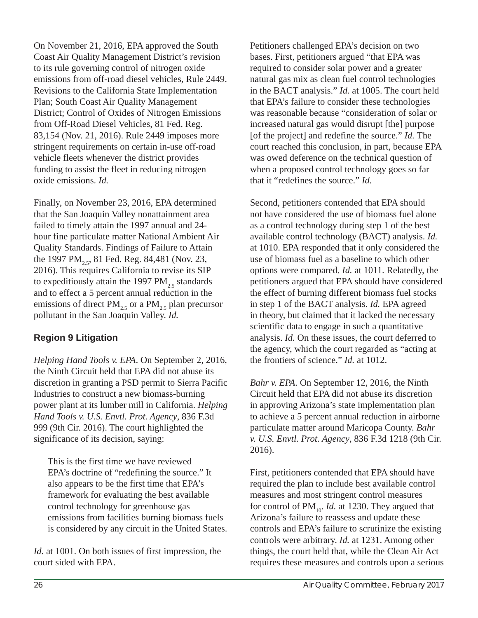On November 21, 2016, EPA approved the South Coast Air Quality Management District's revision to its rule governing control of nitrogen oxide emissions from off-road diesel vehicles, Rule 2449. Revisions to the California State Implementation Plan; South Coast Air Quality Management District; Control of Oxides of Nitrogen Emissions from Off-Road Diesel Vehicles, 81 Fed. Reg. 83,154 (Nov. 21, 2016). Rule 2449 imposes more stringent requirements on certain in-use off-road vehicle fleets whenever the district provides funding to assist the fleet in reducing nitrogen oxide emissions. *Id.* 

Finally, on November 23, 2016, EPA determined that the San Joaquin Valley nonattainment area failed to timely attain the 1997 annual and 24 hour fine particulate matter National Ambient Air Quality Standards. Findings of Failure to Attain the 1997 PM<sub>2.5</sub>, 81 Fed. Reg. 84,481 (Nov. 23, 2016). This requires California to revise its SIP to expeditiously attain the 1997 PM<sub>25</sub> standards and to effect a 5 percent annual reduction in the emissions of direct  $PM_{2.5}$  or a  $PM_{2.5}$  plan precursor pollutant in the San Joaquin Valley. *Id.* 

# **Region 9 Litigation**

*Helping Hand Tools v. EPA*. On September 2, 2016, the Ninth Circuit held that EPA did not abuse its discretion in granting a PSD permit to Sierra Pacific Industries to construct a new biomass-burning power plant at its lumber mill in California. *Helping Hand Tools v. U.S. Envtl. Prot. Agency*, 836 F.3d 999 (9th Cir. 2016). The court highlighted the significance of its decision, saying:

This is the first time we have reviewed EPA's doctrine of "redefining the source." It also appears to be the first time that EPA's framework for evaluating the best available control technology for greenhouse gas emissions from facilities burning biomass fuels is considered by any circuit in the United States.

*Id.* at 1001. On both issues of first impression, the court sided with EPA.

Petitioners challenged EPA's decision on two bases. First, petitioners argued "that EPA was required to consider solar power and a greater natural gas mix as clean fuel control technologies in the BACT analysis." *Id.* at 1005. The court held that EPA's failure to consider these technologies was reasonable because "consideration of solar or increased natural gas would disrupt [the] purpose [of the project] and redefine the source." *Id.* The court reached this conclusion, in part, because EPA was owed deference on the technical question of when a proposed control technology goes so far that it "redefines the source." *Id.* 

Second, petitioners contended that EPA should not have considered the use of biomass fuel alone as a control technology during step 1 of the best available control technology (BACT) analysis. *Id.*  at 1010. EPA responded that it only considered the use of biomass fuel as a baseline to which other options were compared. *Id.* at 1011. Relatedly, the petitioners argued that EPA should have considered the effect of burning different biomass fuel stocks in step 1 of the BACT analysis. *Id.* EPA agreed in theory, but claimed that it lacked the necessary scientific data to engage in such a quantitative analysis. *Id.* On these issues, the court deferred to the agency, which the court regarded as "acting at the frontiers of science." *Id.* at 1012.

*Bahr v. EPA*. On September 12, 2016, the Ninth Circuit held that EPA did not abuse its discretion in approving Arizona's state implementation plan to achieve a 5 percent annual reduction in airborne particulate matter around Maricopa County. *Bahr v. U.S. Envtl. Prot. Agency*, 836 F.3d 1218 (9th Cir. 2016).

First, petitioners contended that EPA should have required the plan to include best available control measures and most stringent control measures for control of PM<sub>10</sub>. *Id.* at 1230. They argued that Arizona's failure to reassess and update these controls and EPA's failure to scrutinize the existing controls were arbitrary. *Id.* at 1231. Among other things, the court held that, while the Clean Air Act requires these measures and controls upon a serious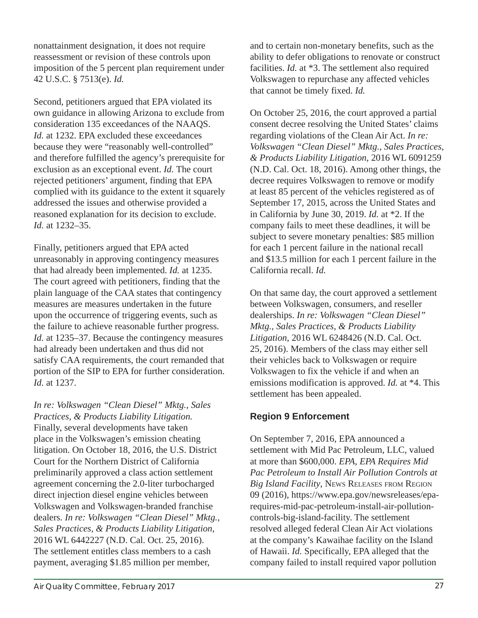nonattainment designation, it does not require reassessment or revision of these controls upon imposition of the 5 percent plan requirement under 42 U.S.C. § 7513(e). *Id.* 

Second, petitioners argued that EPA violated its own guidance in allowing Arizona to exclude from consideration 135 exceedances of the NAAQS. *Id.* at 1232. EPA excluded these exceedances because they were "reasonably well-controlled" and therefore fulfilled the agency's prerequisite for exclusion as an exceptional event. *Id.* The court rejected petitioners' argument, finding that EPA complied with its guidance to the extent it squarely addressed the issues and otherwise provided a reasoned explanation for its decision to exclude. *Id.* at 1232–35.

Finally, petitioners argued that EPA acted unreasonably in approving contingency measures that had already been implemented. *Id.* at 1235. The court agreed with petitioners, finding that the plain language of the CAA states that contingency measures are measures undertaken in the future upon the occurrence of triggering events, such as the failure to achieve reasonable further progress. *Id.* at 1235–37. Because the contingency measures had already been undertaken and thus did not satisfy CAA requirements, the court remanded that portion of the SIP to EPA for further consideration. *Id.* at 1237.

*In re: Volkswagen "Clean Diesel" Mktg., Sales Practices, & Products Liability Litigation.* Finally, several developments have taken place in the Volkswagen's emission cheating litigation. On October 18, 2016, the U.S. District Court for the Northern District of California preliminarily approved a class action settlement agreement concerning the 2.0-liter turbocharged direct injection diesel engine vehicles between Volkswagen and Volkswagen-branded franchise dealers. *In re: Volkswagen "Clean Diesel" Mktg., Sales Practices, & Products Liability Litigation*, 2016 WL 6442227 (N.D. Cal. Oct. 25, 2016). The settlement entitles class members to a cash payment, averaging \$1.85 million per member,

Air Quality Committee, February 2017 27

and to certain non-monetary benefits, such as the ability to defer obligations to renovate or construct facilities. *Id.* at \*3. The settlement also required Volkswagen to repurchase any affected vehicles that cannot be timely fixed. *Id.* 

On October 25, 2016, the court approved a partial consent decree resolving the United States' claims regarding violations of the Clean Air Act. *In re: Volkswagen "Clean Diesel" Mktg., Sales Practices, & Products Liability Litigation*, 2016 WL 6091259 (N.D. Cal. Oct. 18, 2016). Among other things, the decree requires Volkswagen to remove or modify at least 85 percent of the vehicles registered as of September 17, 2015, across the United States and in California by June 30, 2019. *Id.* at \*2. If the company fails to meet these deadlines, it will be subject to severe monetary penalties: \$85 million for each 1 percent failure in the national recall and \$13.5 million for each 1 percent failure in the California recall. *Id.* 

On that same day, the court approved a settlement between Volkswagen, consumers, and reseller dealerships. *In re: Volkswagen "Clean Diesel" Mktg., Sales Practices, & Products Liability Litigation*, 2016 WL 6248426 (N.D. Cal. Oct. 25, 2016). Members of the class may either sell their vehicles back to Volkswagen or require Volkswagen to fix the vehicle if and when an emissions modification is approved. *Id.* at \*4. This settlement has been appealed.

# **Region 9 Enforcement**

On September 7, 2016, EPA announced a settlement with Mid Pac Petroleum, LLC, valued at more than \$600,000. *EPA, EPA Requires Mid Pac Petroleum to Install Air Pollution Controls at Big Island Facility*, NEWS RELEASES FROM REGION 09 (2016), https://www.epa.gov/newsreleases/eparequires-mid-pac-petroleum-install-air-pollutioncontrols-big-island-facility. The settlement resolved alleged federal Clean Air Act violations at the company's Kawaihae facility on the Island of Hawaii. *Id.* Specifically, EPA alleged that the company failed to install required vapor pollution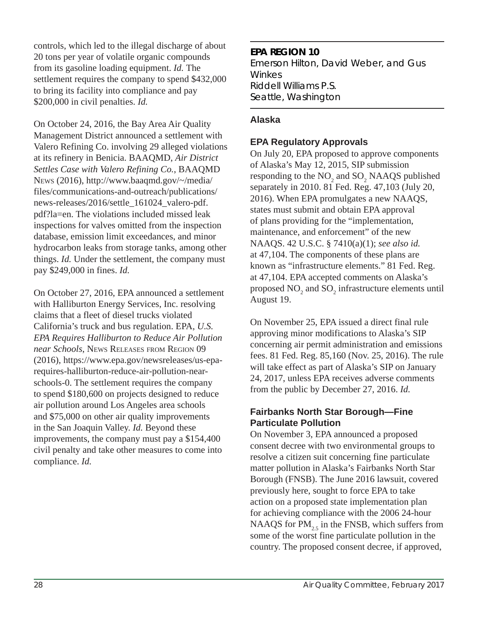controls, which led to the illegal discharge of about 20 tons per year of volatile organic compounds from its gasoline loading equipment. *Id.* The settlement requires the company to spend \$432,000 to bring its facility into compliance and pay \$200,000 in civil penalties. *Id.* 

On October 24, 2016, the Bay Area Air Quality Management District announced a settlement with Valero Refining Co. involving 29 alleged violations at its refinery in Benicia. BAAQMD, *Air District Settles Case with Valero Refining Co.*, BAAQMD NEWS (2016), http://www.baaqmd.gov/~/media/ files/communications-and-outreach/publications/ news-releases/2016/settle\_161024\_valero-pdf. pdf?la=en. The violations included missed leak inspections for valves omitted from the inspection database, emission limit exceedances, and minor hydrocarbon leaks from storage tanks, among other things. *Id.* Under the settlement, the company must pay \$249,000 in fines. *Id.* 

On October 27, 2016, EPA announced a settlement with Halliburton Energy Services, Inc. resolving claims that a fleet of diesel trucks violated California's truck and bus regulation. EPA, *U.S. EPA Requires Halliburton to Reduce Air Pollution near Schools*, NEWS RELEASES FROM REGION 09 (2016), https://www.epa.gov/newsreleases/us-eparequires-halliburton-reduce-air-pollution-nearschools-0. The settlement requires the company to spend \$180,600 on projects designed to reduce air pollution around Los Angeles area schools and \$75,000 on other air quality improvements in the San Joaquin Valley. *Id.* Beyond these improvements, the company must pay a \$154,400 civil penalty and take other measures to come into compliance. *Id.* 

#### **EPA REGION 10**

Emerson Hilton, David Weber, and Gus Winkes *Riddell Williams P.S. Seattle, Washington*

#### **Alaska**

#### **EPA Regulatory Approvals**

On July 20, EPA proposed to approve components of Alaska's May 12, 2015, SIP submission responding to the  $NO_2$  and  $SO_2$  NAAQS published separately in 2010. 81 Fed. Reg. 47,103 (July 20, 2016). When EPA promulgates a new NAAQS, states must submit and obtain EPA approval of plans providing for the "implementation, maintenance, and enforcement" of the new NAAQS. 42 U.S.C. § 7410(a)(1); *see also id.* at 47,104. The components of these plans are known as "infrastructure elements." 81 Fed. Reg. at 47,104. EPA accepted comments on Alaska's proposed  $\mathrm{NO}_2$  and  $\mathrm{SO}_2$  infrastructure elements until August 19.

On November 25, EPA issued a direct final rule approving minor modifications to Alaska's SIP concerning air permit administration and emissions fees. 81 Fed. Reg. 85,160 (Nov. 25, 2016). The rule will take effect as part of Alaska's SIP on January 24, 2017, unless EPA receives adverse comments from the public by December 27, 2016. *Id.*

#### **Fairbanks North Star Borough—Fine Particulate Pollution**

On November 3, EPA announced a proposed consent decree with two environmental groups to resolve a citizen suit concerning fine particulate matter pollution in Alaska's Fairbanks North Star Borough (FNSB). The June 2016 lawsuit, covered previously here, sought to force EPA to take action on a proposed state implementation plan for achieving compliance with the 2006 24-hour NAAQS for  $PM_{2.5}$  in the FNSB, which suffers from some of the worst fine particulate pollution in the country. The proposed consent decree, if approved,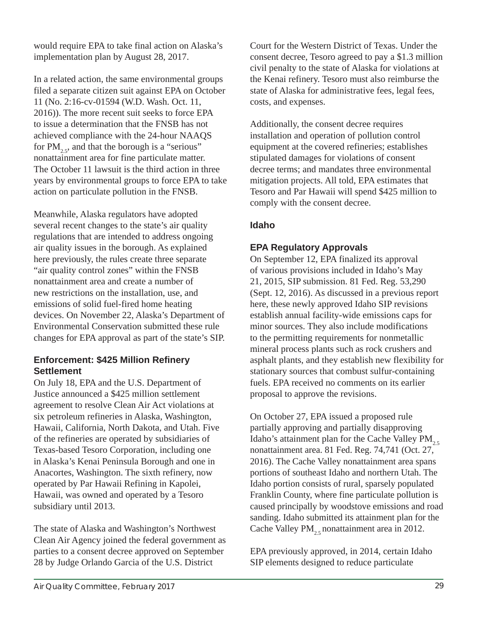would require EPA to take final action on Alaska's implementation plan by August 28, 2017.

In a related action, the same environmental groups filed a separate citizen suit against EPA on October 11 (No. 2:16-cv-01594 (W.D. Wash. Oct. 11, 2016)). The more recent suit seeks to force EPA to issue a determination that the FNSB has not achieved compliance with the 24-hour NAAQS for  $PM_{2,5}$ , and that the borough is a "serious" nonattainment area for fine particulate matter. The October 11 lawsuit is the third action in three years by environmental groups to force EPA to take action on particulate pollution in the FNSB.

Meanwhile, Alaska regulators have adopted several recent changes to the state's air quality regulations that are intended to address ongoing air quality issues in the borough. As explained here previously, the rules create three separate "air quality control zones" within the FNSB nonattainment area and create a number of new restrictions on the installation, use, and emissions of solid fuel-fired home heating devices. On November 22, Alaska's Department of Environmental Conservation submitted these rule changes for EPA approval as part of the state's SIP.

#### **Enforcement: \$425 Million Refinery Settlement**

On July 18, EPA and the U.S. Department of Justice announced a \$425 million settlement agreement to resolve Clean Air Act violations at six petroleum refineries in Alaska, Washington, Hawaii, California, North Dakota, and Utah. Five of the refineries are operated by subsidiaries of Texas-based Tesoro Corporation, including one in Alaska's Kenai Peninsula Borough and one in Anacortes, Washington. The sixth refinery, now operated by Par Hawaii Refining in Kapolei, Hawaii, was owned and operated by a Tesoro subsidiary until 2013.

The state of Alaska and Washington's Northwest Clean Air Agency joined the federal government as parties to a consent decree approved on September 28 by Judge Orlando Garcia of the U.S. District

Court for the Western District of Texas. Under the consent decree, Tesoro agreed to pay a \$1.3 million civil penalty to the state of Alaska for violations at the Kenai refinery. Tesoro must also reimburse the state of Alaska for administrative fees, legal fees, costs, and expenses.

Additionally, the consent decree requires installation and operation of pollution control equipment at the covered refineries; establishes stipulated damages for violations of consent decree terms; and mandates three environmental mitigation projects. All told, EPA estimates that Tesoro and Par Hawaii will spend \$425 million to comply with the consent decree.

## **Idaho**

## **EPA Regulatory Approvals**

On September 12, EPA finalized its approval of various provisions included in Idaho's May 21, 2015, SIP submission. 81 Fed. Reg. 53,290 (Sept. 12, 2016). As discussed in a previous report here, these newly approved Idaho SIP revisions establish annual facility-wide emissions caps for minor sources. They also include modifications to the permitting requirements for nonmetallic mineral process plants such as rock crushers and asphalt plants, and they establish new flexibility for stationary sources that combust sulfur-containing fuels. EPA received no comments on its earlier proposal to approve the revisions.

On October 27, EPA issued a proposed rule partially approving and partially disapproving Idaho's attainment plan for the Cache Valley  $PM_{2.5}$ nonattainment area. 81 Fed. Reg. 74,741 (Oct. 27, 2016). The Cache Valley nonattainment area spans portions of southeast Idaho and northern Utah. The Idaho portion consists of rural, sparsely populated Franklin County, where fine particulate pollution is caused principally by woodstove emissions and road sanding. Idaho submitted its attainment plan for the Cache Valley PM<sub>2.5</sub> nonattainment area in 2012.

EPA previously approved, in 2014, certain Idaho SIP elements designed to reduce particulate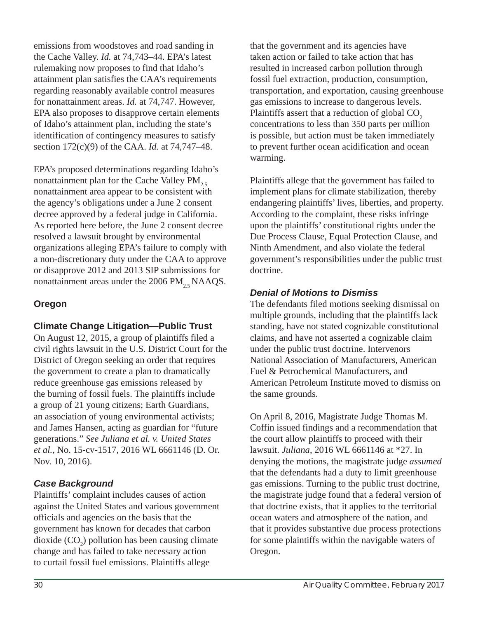emissions from woodstoves and road sanding in the Cache Valley. *Id.* at 74,743–44. EPA's latest rulemaking now proposes to find that Idaho's attainment plan satisfies the CAA's requirements regarding reasonably available control measures for nonattainment areas. *Id.* at 74,747. However, EPA also proposes to disapprove certain elements of Idaho's attainment plan, including the state's identification of contingency measures to satisfy section 172(c)(9) of the CAA. *Id.* at 74,747–48.

EPA's proposed determinations regarding Idaho's nonattainment plan for the Cache Valley  $PM_{2.5}$ nonattainment area appear to be consistent with the agency's obligations under a June 2 consent decree approved by a federal judge in California. As reported here before, the June 2 consent decree resolved a lawsuit brought by environmental organizations alleging EPA's failure to comply with a non-discretionary duty under the CAA to approve or disapprove 2012 and 2013 SIP submissions for nonattainment areas under the 2006 PM $_{2.5}$ NAAQS.

#### **Oregon**

#### **Climate Change Litigation—Public Trust**

On August 12, 2015, a group of plaintiffs filed a civil rights lawsuit in the U.S. District Court for the District of Oregon seeking an order that requires the government to create a plan to dramatically reduce greenhouse gas emissions released by the burning of fossil fuels. The plaintiffs include a group of 21 young citizens; Earth Guardians, an association of young environmental activists; and James Hansen, acting as guardian for "future generations." *See Juliana et al. v. United States et al.*, No. 15-cv-1517, 2016 WL 6661146 (D. Or. Nov. 10, 2016).

#### *Case Background*

Plaintiffs' complaint includes causes of action against the United States and various government officials and agencies on the basis that the government has known for decades that carbon dioxide  $(CO_2)$  pollution has been causing climate change and has failed to take necessary action to curtail fossil fuel emissions. Plaintiffs allege

that the government and its agencies have taken action or failed to take action that has resulted in increased carbon pollution through fossil fuel extraction, production, consumption, transportation, and exportation, causing greenhouse gas emissions to increase to dangerous levels. Plaintiffs assert that a reduction of global CO<sub>2</sub> concentrations to less than 350 parts per million is possible, but action must be taken immediately to prevent further ocean acidification and ocean warming.

Plaintiffs allege that the government has failed to implement plans for climate stabilization, thereby endangering plaintiffs' lives, liberties, and property. According to the complaint, these risks infringe upon the plaintiffs' constitutional rights under the Due Process Clause, Equal Protection Clause, and Ninth Amendment, and also violate the federal government's responsibilities under the public trust doctrine.

#### *Denial of Motions to Dismiss*

The defendants filed motions seeking dismissal on multiple grounds, including that the plaintiffs lack standing, have not stated cognizable constitutional claims, and have not asserted a cognizable claim under the public trust doctrine. Intervenors National Association of Manufacturers, American Fuel & Petrochemical Manufacturers, and American Petroleum Institute moved to dismiss on the same grounds.

On April 8, 2016, Magistrate Judge Thomas M. Coffin issued findings and a recommendation that the court allow plaintiffs to proceed with their lawsuit. *Juliana*, 2016 WL 6661146 at \*27. In denying the motions, the magistrate judge *assumed* that the defendants had a duty to limit greenhouse gas emissions. Turning to the public trust doctrine, the magistrate judge found that a federal version of that doctrine exists, that it applies to the territorial ocean waters and atmosphere of the nation, and that it provides substantive due process protections for some plaintiffs within the navigable waters of Oregon.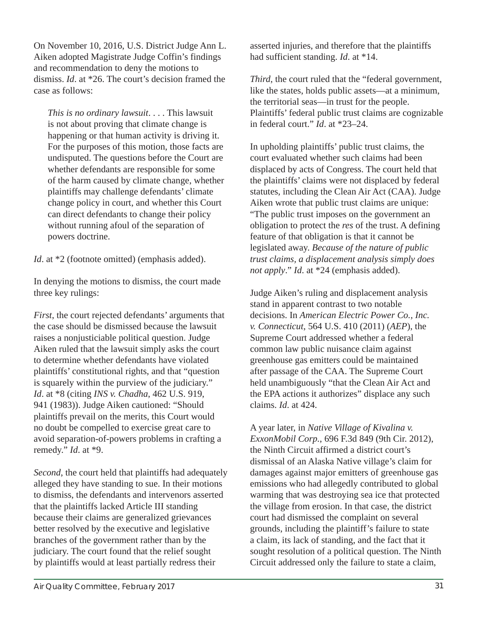On November 10, 2016, U.S. District Judge Ann L. Aiken adopted Magistrate Judge Coffin's findings and recommendation to deny the motions to dismiss. *Id*. at \*26. The court's decision framed the case as follows:

*This is no ordinary lawsuit*. . . . This lawsuit is not about proving that climate change is happening or that human activity is driving it. For the purposes of this motion, those facts are undisputed. The questions before the Court are whether defendants are responsible for some of the harm caused by climate change, whether plaintiffs may challenge defendants' climate change policy in court, and whether this Court can direct defendants to change their policy without running afoul of the separation of powers doctrine.

*Id.* at  $*2$  (footnote omitted) (emphasis added).

In denying the motions to dismiss, the court made three key rulings:

*First*, the court rejected defendants' arguments that the case should be dismissed because the lawsuit raises a nonjusticiable political question. Judge Aiken ruled that the lawsuit simply asks the court to determine whether defendants have violated plaintiffs' constitutional rights, and that "question is squarely within the purview of the judiciary." *Id*. at \*8 (citing *INS v. Chadha*, 462 U.S. 919, 941 (1983)). Judge Aiken cautioned: "Should plaintiffs prevail on the merits, this Court would no doubt be compelled to exercise great care to avoid separation-of-powers problems in crafting a remedy." *Id*. at \*9.

*Second*, the court held that plaintiffs had adequately alleged they have standing to sue. In their motions to dismiss, the defendants and intervenors asserted that the plaintiffs lacked Article III standing because their claims are generalized grievances better resolved by the executive and legislative branches of the government rather than by the judiciary. The court found that the relief sought by plaintiffs would at least partially redress their

asserted injuries, and therefore that the plaintiffs had sufficient standing. *Id*. at \*14.

*Third*, the court ruled that the "federal government, like the states, holds public assets—at a minimum, the territorial seas—in trust for the people. Plaintiffs' federal public trust claims are cognizable in federal court." *Id*. at \*23–24.

In upholding plaintiffs' public trust claims, the court evaluated whether such claims had been displaced by acts of Congress. The court held that the plaintiffs' claims were not displaced by federal statutes, including the Clean Air Act (CAA). Judge Aiken wrote that public trust claims are unique: "The public trust imposes on the government an obligation to protect the *res* of the trust. A defining feature of that obligation is that it cannot be legislated away. *Because of the nature of public trust claims, a displacement analysis simply does not apply*." *Id*. at \*24 (emphasis added).

Judge Aiken's ruling and displacement analysis stand in apparent contrast to two notable decisions. In *American Electric Power Co., Inc. v. Connecticut*, 564 U.S. 410 (2011) (*AEP*), the Supreme Court addressed whether a federal common law public nuisance claim against greenhouse gas emitters could be maintained after passage of the CAA. The Supreme Court held unambiguously "that the Clean Air Act and the EPA actions it authorizes" displace any such claims. *Id*. at 424.

A year later, in *Native Village of Kivalina v. ExxonMobil Corp.*, 696 F.3d 849 (9th Cir. 2012), the Ninth Circuit affirmed a district court's dismissal of an Alaska Native village's claim for damages against major emitters of greenhouse gas emissions who had allegedly contributed to global warming that was destroying sea ice that protected the village from erosion. In that case, the district court had dismissed the complaint on several grounds, including the plaintiff's failure to state a claim, its lack of standing, and the fact that it sought resolution of a political question. The Ninth Circuit addressed only the failure to state a claim,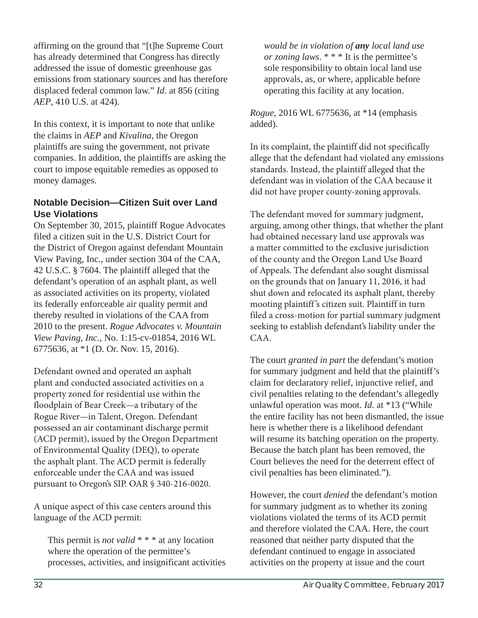affirming on the ground that "[t]he Supreme Court has already determined that Congress has directly addressed the issue of domestic greenhouse gas emissions from stationary sources and has therefore displaced federal common law." *Id.* at 856 (citing *AEP*, 410 U.S. at 424).

In this context, it is important to note that unlike the claims in *AEP* and *Kivalina*, the Oregon plaintiffs are suing the government, not private companies. In addition, the plaintiffs are asking the court to impose equitable remedies as opposed to money damages.

#### **Notable Decision—Citizen Suit over Land Use Violations**

On September 30, 2015, plaintiff Rogue Advocates filed a citizen suit in the U.S. District Court for the District of Oregon against defendant Mountain View Paving, Inc., under section 304 of the CAA, 42 U.S.C. § 7604. The plaintiff alleged that the defendant's operation of an asphalt plant, as well as associated activities on its property, violated its federally enforceable air quality permit and thereby resulted in violations of the CAA from 2010 to the present. *Rogue Advocates v. Mountain View Paving, Inc.*, No. 1:15-cv-01854, 2016 WL 6775636, at \*1 (D. Or. Nov. 15, 2016).

Defendant owned and operated an asphalt plant and conducted associated activities on a property zoned for residential use within the floodplain of Bear Creek—a tributary of the Rogue River—in Talent, Oregon. Defendant possessed an air contaminant discharge permit (ACD permit), issued by the Oregon Department of Environmental Quality (DEQ), to operate the asphalt plant. The ACD permit is federally enforceable under the CAA and was issued pursuant to Oregon's SIP. OAR § 340-216-0020.

A unique aspect of this case centers around this language of the ACD permit:

This permit is *not valid* \* \* \* at any location where the operation of the permittee's processes, activities, and insignificant activities

*would be in violation of any local land use or zoning laws*. \* \* \* It is the permittee's sole responsibility to obtain local land use approvals, as, or where, applicable before operating this facility at any location.

*Rogue*, 2016 WL 6775636, at \*14 (emphasis added).

In its complaint, the plaintiff did not specifically allege that the defendant had violated any emissions standards. Instead, the plaintiff alleged that the defendant was in violation of the CAA because it did not have proper county-zoning approvals.

The defendant moved for summary judgment, arguing, among other things, that whether the plant had obtained necessary land use approvals was a matter committed to the exclusive jurisdiction of the county and the Oregon Land Use Board of Appeals. The defendant also sought dismissal on the grounds that on January 11, 2016, it had shut down and relocated its asphalt plant, thereby mooting plaintiff 's citizen suit. Plaintiff in turn filed a cross-motion for partial summary judgment seeking to establish defendant's liability under the CAA.

The court *granted in part* the defendant's motion for summary judgment and held that the plaintiff's claim for declaratory relief, injunctive relief, and civil penalties relating to the defendant's allegedly unlawful operation was moot. *Id.* at \*13 ("While the entire facility has not been dismantled, the issue here is whether there is a likelihood defendant will resume its batching operation on the property. Because the batch plant has been removed, the Court believes the need for the deterrent effect of civil penalties has been eliminated.").

However, the court *denied* the defendant's motion for summary judgment as to whether its zoning violations violated the terms of its ACD permit and therefore violated the CAA. Here, the court reasoned that neither party disputed that the defendant continued to engage in associated activities on the property at issue and the court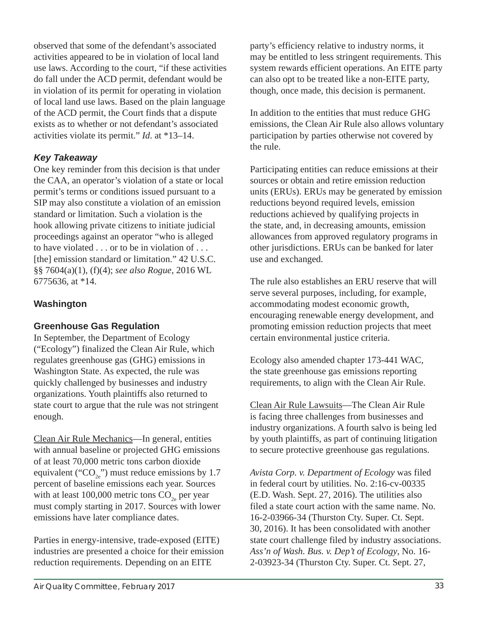observed that some of the defendant's associated activities appeared to be in violation of local land use laws. According to the court, "if these activities do fall under the ACD permit, defendant would be in violation of its permit for operating in violation of local land use laws. Based on the plain language of the ACD permit, the Court finds that a dispute exists as to whether or not defendant's associated activities violate its permit." *Id*. at \*13–14.

## *Key Takeaway*

One key reminder from this decision is that under the CAA, an operator's violation of a state or local permit's terms or conditions issued pursuant to a SIP may also constitute a violation of an emission standard or limitation. Such a violation is the hook allowing private citizens to initiate judicial proceedings against an operator "who is alleged to have violated . . . or to be in violation of . . . [the] emission standard or limitation." 42 U.S.C. §§ 7604(a)(1), (f)(4); *see also Rogue*, 2016 WL 6775636, at \*14.

# **Washington**

#### **Greenhouse Gas Regulation**

In September, the Department of Ecology ("Ecology") finalized the Clean Air Rule, which regulates greenhouse gas (GHG) emissions in Washington State. As expected, the rule was quickly challenged by businesses and industry organizations. Youth plaintiffs also returned to state court to argue that the rule was not stringent enough.

Clean Air Rule Mechanics—In general, entities with annual baseline or projected GHG emissions of at least 70,000 metric tons carbon dioxide equivalent ("CO<sub>2e</sub>") must reduce emissions by 1.7 percent of baseline emissions each year. Sources with at least 100,000 metric tons  $CO<sub>2</sub>$  per year must comply starting in 2017. Sources with lower emissions have later compliance dates.

Parties in energy-intensive, trade-exposed (EITE) industries are presented a choice for their emission reduction requirements. Depending on an EITE

party's efficiency relative to industry norms, it may be entitled to less stringent requirements. This system rewards efficient operations. An EITE party can also opt to be treated like a non-EITE party, though, once made, this decision is permanent.

In addition to the entities that must reduce GHG emissions, the Clean Air Rule also allows voluntary participation by parties otherwise not covered by the rule.

Participating entities can reduce emissions at their sources or obtain and retire emission reduction units (ERUs). ERUs may be generated by emission reductions beyond required levels, emission reductions achieved by qualifying projects in the state, and, in decreasing amounts, emission allowances from approved regulatory programs in other jurisdictions. ERUs can be banked for later use and exchanged.

The rule also establishes an ERU reserve that will serve several purposes, including, for example, accommodating modest economic growth, encouraging renewable energy development, and promoting emission reduction projects that meet certain environmental justice criteria.

Ecology also amended chapter 173-441 WAC, the state greenhouse gas emissions reporting requirements, to align with the Clean Air Rule.

Clean Air Rule Lawsuits—The Clean Air Rule is facing three challenges from businesses and industry organizations. A fourth salvo is being led by youth plaintiffs, as part of continuing litigation to secure protective greenhouse gas regulations.

*Avista Corp. v. Department of Ecology* was filed in federal court by utilities. No. 2:16-cv-00335 (E.D. Wash. Sept. 27, 2016). The utilities also filed a state court action with the same name. No. 16-2-03966-34 (Thurston Cty. Super. Ct. Sept. 30, 2016). It has been consolidated with another state court challenge filed by industry associations. *Ass'n of Wash. Bus. v. Dep't of Ecology*, No. 16- 2-03923-34 (Thurston Cty. Super. Ct. Sept. 27,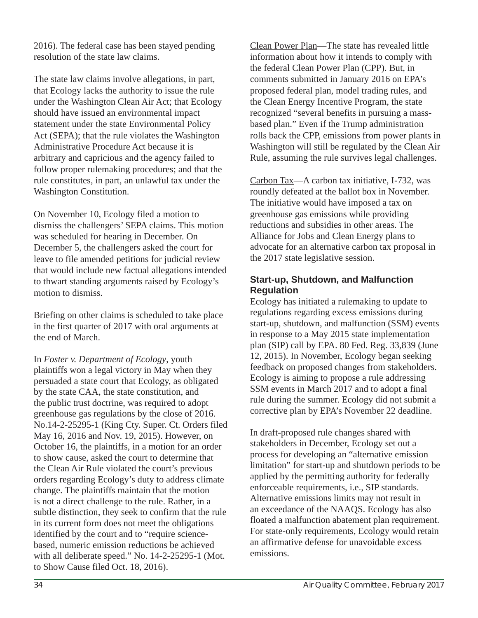2016). The federal case has been stayed pending resolution of the state law claims.

The state law claims involve allegations, in part, that Ecology lacks the authority to issue the rule under the Washington Clean Air Act; that Ecology should have issued an environmental impact statement under the state Environmental Policy Act (SEPA); that the rule violates the Washington Administrative Procedure Act because it is arbitrary and capricious and the agency failed to follow proper rulemaking procedures; and that the rule constitutes, in part, an unlawful tax under the Washington Constitution.

On November 10, Ecology filed a motion to dismiss the challengers' SEPA claims. This motion was scheduled for hearing in December. On December 5, the challengers asked the court for leave to file amended petitions for judicial review that would include new factual allegations intended to thwart standing arguments raised by Ecology's motion to dismiss.

Briefing on other claims is scheduled to take place in the first quarter of 2017 with oral arguments at the end of March.

In *Foster v. Department of Ecology*, youth plaintiffs won a legal victory in May when they persuaded a state court that Ecology, as obligated by the state CAA, the state constitution, and the public trust doctrine, was required to adopt greenhouse gas regulations by the close of 2016. No.14-2-25295-1 (King Cty. Super. Ct. Orders filed May 16, 2016 and Nov. 19, 2015). However, on October 16, the plaintiffs, in a motion for an order to show cause, asked the court to determine that the Clean Air Rule violated the court's previous orders regarding Ecology's duty to address climate change. The plaintiffs maintain that the motion is not a direct challenge to the rule. Rather, in a subtle distinction, they seek to confirm that the rule in its current form does not meet the obligations identified by the court and to "require sciencebased, numeric emission reductions be achieved with all deliberate speed." No. 14-2-25295-1 (Mot. to Show Cause filed Oct. 18, 2016).

Clean Power Plan—The state has revealed little information about how it intends to comply with the federal Clean Power Plan (CPP). But, in comments submitted in January 2016 on EPA's proposed federal plan, model trading rules, and the Clean Energy Incentive Program, the state recognized "several benefits in pursuing a massbased plan." Even if the Trump administration rolls back the CPP, emissions from power plants in Washington will still be regulated by the Clean Air Rule, assuming the rule survives legal challenges.

Carbon Tax—A carbon tax initiative, I-732, was roundly defeated at the ballot box in November. The initiative would have imposed a tax on greenhouse gas emissions while providing reductions and subsidies in other areas. The Alliance for Jobs and Clean Energy plans to advocate for an alternative carbon tax proposal in the 2017 state legislative session.

#### **Start-up, Shutdown, and Malfunction Regulation**

Ecology has initiated a rulemaking to update to regulations regarding excess emissions during start-up, shutdown, and malfunction (SSM) events in response to a May 2015 state implementation plan (SIP) call by EPA. 80 Fed. Reg. 33,839 (June 12, 2015). In November, Ecology began seeking feedback on proposed changes from stakeholders. Ecology is aiming to propose a rule addressing SSM events in March 2017 and to adopt a final rule during the summer. Ecology did not submit a corrective plan by EPA's November 22 deadline.

In draft-proposed rule changes shared with stakeholders in December, Ecology set out a process for developing an "alternative emission limitation" for start-up and shutdown periods to be applied by the permitting authority for federally enforceable requirements, i.e., SIP standards. Alternative emissions limits may not result in an exceedance of the NAAQS. Ecology has also floated a malfunction abatement plan requirement. For state-only requirements, Ecology would retain an affirmative defense for unavoidable excess emissions.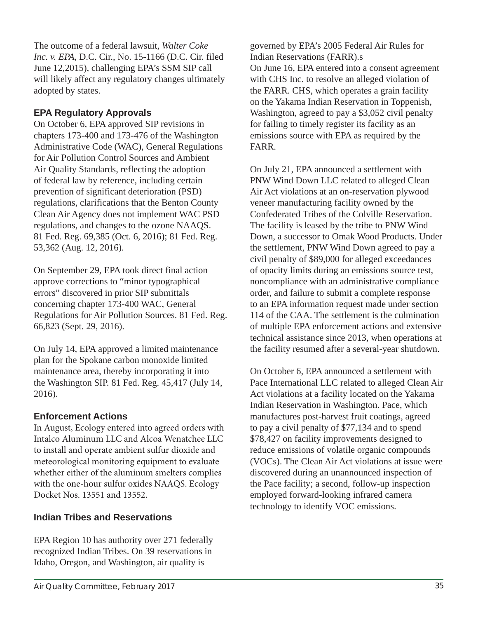The outcome of a federal lawsuit, *Walter Coke Inc. v. EPA, D.C. Cir., No.* 15-1166 (D.C. Cir. filed June 12,2015), challenging EPA's SSM SIP call will likely affect any regulatory changes ultimately adopted by states.

## **EPA Regulatory Approvals**

On October 6, EPA approved SIP revisions in chapters 173-400 and 173-476 of the Washington Administrative Code (WAC), General Regulations for Air Pollution Control Sources and Ambient Air Quality Standards, reflecting the adoption of federal law by reference, including certain prevention of significant deterioration (PSD) regulations, clarifications that the Benton County Clean Air Agency does not implement WAC PSD regulations, and changes to the ozone NAAQS. 81 Fed. Reg. 69,385 (Oct. 6, 2016); 81 Fed. Reg. 53,362 (Aug. 12, 2016).

On September 29, EPA took direct final action approve corrections to "minor typographical errors" discovered in prior SIP submittals concerning chapter 173-400 WAC, General Regulations for Air Pollution Sources. 81 Fed. Reg. 66,823 (Sept. 29, 2016).

On July 14, EPA approved a limited maintenance plan for the Spokane carbon monoxide limited maintenance area, thereby incorporating it into the Washington SIP. 81 Fed. Reg. 45,417 (July 14, 2016).

#### **Enforcement Actions**

In August, Ecology entered into agreed orders with Intalco Aluminum LLC and Alcoa Wenatchee LLC to install and operate ambient sulfur dioxide and meteorological monitoring equipment to evaluate whether either of the aluminum smelters complies with the one-hour sulfur oxides NAAQS. Ecology Docket Nos. 13551 and 13552.

# **Indian Tribes and Reservations**

EPA Region 10 has authority over 271 federally recognized Indian Tribes. On 39 reservations in Idaho, Oregon, and Washington, air quality is

governed by EPA's 2005 Federal Air Rules for Indian Reservations (FARR).s On June 16, EPA entered into a consent agreement with CHS Inc. to resolve an alleged violation of the FARR. CHS, which operates a grain facility on the Yakama Indian Reservation in Toppenish, Washington, agreed to pay a \$3,052 civil penalty for failing to timely register its facility as an emissions source with EPA as required by the FARR.

On July 21, EPA announced a settlement with PNW Wind Down LLC related to alleged Clean Air Act violations at an on-reservation plywood veneer manufacturing facility owned by the Confederated Tribes of the Colville Reservation. The facility is leased by the tribe to PNW Wind Down, a successor to Omak Wood Products. Under the settlement, PNW Wind Down agreed to pay a civil penalty of \$89,000 for alleged exceedances of opacity limits during an emissions source test, noncompliance with an administrative compliance order, and failure to submit a complete response to an EPA information request made under section 114 of the CAA. The settlement is the culmination of multiple EPA enforcement actions and extensive technical assistance since 2013, when operations at the facility resumed after a several-year shutdown.

On October 6, EPA announced a settlement with Pace International LLC related to alleged Clean Air Act violations at a facility located on the Yakama Indian Reservation in Washington. Pace, which manufactures post-harvest fruit coatings, agreed to pay a civil penalty of \$77,134 and to spend \$78,427 on facility improvements designed to reduce emissions of volatile organic compounds (VOCs). The Clean Air Act violations at issue were discovered during an unannounced inspection of the Pace facility; a second, follow-up inspection employed forward-looking infrared camera technology to identify VOC emissions.